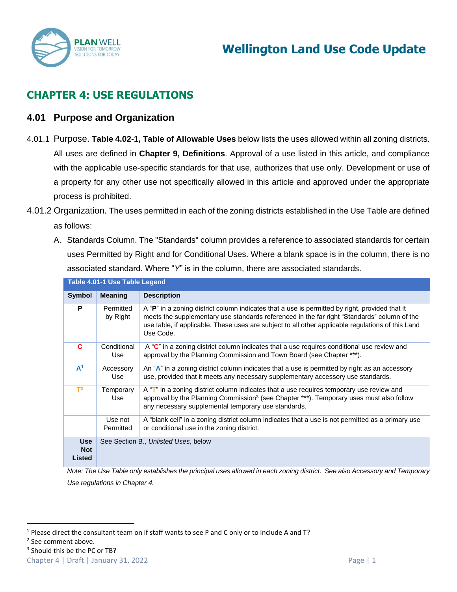

# **CHAPTER 4: USE REGULATIONS**

#### **4.01 Purpose and Organization**

- 4.01.1 Purpose. **Table 4.02-1, Table of Allowable Uses** below lists the uses allowed within all zoning districts. All uses are defined in **Chapter 9, Definitions**. Approval of a use listed in this article, and compliance with the applicable use-specific standards for that use, authorizes that use only. Development or use of a property for any other use not specifically allowed in this article and approved under the appropriate process is prohibited.
- 4.01.2 Organization. The uses permitted in each of the zoning districts established in the Use Table are defined as follows:
	- A. Standards Column. The "Standards" column provides a reference to associated standards for certain uses Permitted by Right and for Conditional Uses. Where a blank space is in the column, there is no associated standard. Where "*Y*" is in the column, there are associated standards. **Table 4.01-1 Use Table Legend**

|                                           | Table 4.01-1 OSE Table Legend |                                                                                                                                                                                                                                                                                                                 |
|-------------------------------------------|-------------------------------|-----------------------------------------------------------------------------------------------------------------------------------------------------------------------------------------------------------------------------------------------------------------------------------------------------------------|
| <b>Symbol</b>                             | <b>Meaning</b>                | <b>Description</b>                                                                                                                                                                                                                                                                                              |
| P                                         | Permitted<br>by Right         | A "P" in a zoning district column indicates that a use is permitted by right, provided that it<br>meets the supplementary use standards referenced in the far right "Standards" column of the<br>use table, if applicable. These uses are subject to all other applicable regulations of this Land<br>Use Code. |
| C                                         | Conditional<br>Use            | A "C" in a zoning district column indicates that a use requires conditional use review and<br>approval by the Planning Commission and Town Board (see Chapter ***).                                                                                                                                             |
| A <sup>1</sup>                            | Accessory<br>Use              | An "A" in a zoning district column indicates that a use is permitted by right as an accessory<br>use, provided that it meets any necessary supplementary accessory use standards.                                                                                                                               |
| $T^2$                                     | Temporary<br>Use              | A "T" in a zoning district column indicates that a use requires temporary use review and<br>approval by the Planning Commission <sup>3</sup> (see Chapter ***). Temporary uses must also follow<br>any necessary supplemental temporary use standards.                                                          |
|                                           | Use not<br>Permitted          | A "blank cell" in a zoning district column indicates that a use is not permitted as a primary use<br>or conditional use in the zoning district.                                                                                                                                                                 |
| <b>Use</b><br><b>Not</b><br><b>Listed</b> |                               | See Section B., Unlisted Uses, below                                                                                                                                                                                                                                                                            |

*Note: The Use Table only establishes the principal uses allowed in each zoning district. See also Accessory and Temporary Use regulations in Chapter 4.*

Chapter 4 | Draft | January 31, 2022 Page | 1

<sup>&</sup>lt;sup>1</sup> Please direct the consultant team on if staff wants to see P and C only or to include A and T?

<sup>2</sup> See comment above.

<sup>&</sup>lt;sup>3</sup> Should this be the PC or TB?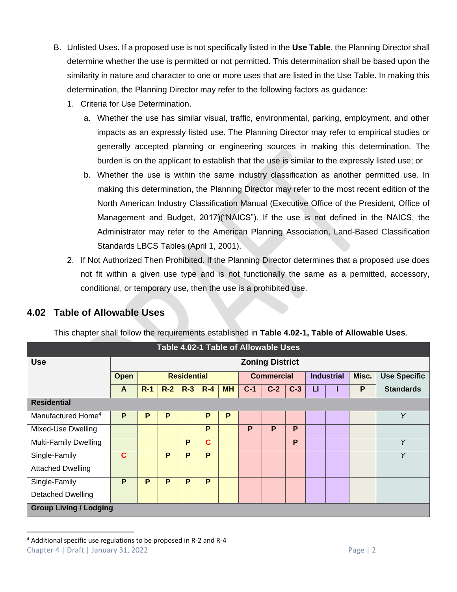- B. Unlisted Uses. If a proposed use is not specifically listed in the **Use Table**, the Planning Director shall determine whether the use is permitted or not permitted. This determination shall be based upon the similarity in nature and character to one or more uses that are listed in the Use Table. In making this determination, the Planning Director may refer to the following factors as guidance:
	- 1. Criteria for Use Determination.
		- a. Whether the use has similar visual, traffic, environmental, parking, employment, and other impacts as an expressly listed use. The Planning Director may refer to empirical studies or generally accepted planning or engineering sources in making this determination. The burden is on the applicant to establish that the use is similar to the expressly listed use; or
		- b. Whether the use is within the same industry classification as another permitted use. In making this determination, the Planning Director may refer to the most recent edition of the North American Industry Classification Manual (Executive Office of the President, Office of Management and Budget, 2017)("NAICS"). If the use is not defined in the NAICS, the Administrator may refer to the American Planning Association, Land-Based Classification Standards LBCS Tables (April 1, 2001).
	- 2. If Not Authorized Then Prohibited. If the Planning Director determines that a proposed use does not fit within a given use type and is not functionally the same as a permitted, accessory, conditional, or temporary use, then the use is a prohibited use.

| <b>Use</b>                     |                            |       |       |       |             | <b>Zoning District</b> |       |                   |       |   |                   |       |                     |
|--------------------------------|----------------------------|-------|-------|-------|-------------|------------------------|-------|-------------------|-------|---|-------------------|-------|---------------------|
|                                | <b>Residential</b><br>Open |       |       |       |             |                        |       | <b>Commercial</b> |       |   | <b>Industrial</b> | Misc. | <b>Use Specific</b> |
|                                | A                          | $R-1$ | $R-2$ | $R-3$ | $R-4$       | <b>MH</b>              | $C-1$ | $C-2$             | $C-3$ | п |                   | P     | <b>Standards</b>    |
| <b>Residential</b>             |                            |       |       |       |             |                        |       |                   |       |   |                   |       |                     |
| Manufactured Home <sup>4</sup> | P                          | P     | P     |       | P           | P                      |       |                   |       |   |                   |       | Y                   |
| Mixed-Use Dwelling             |                            |       |       |       | P           |                        | P     | P                 | P     |   |                   |       |                     |
| <b>Multi-Family Dwelling</b>   |                            |       |       | P     | $\mathbf c$ |                        |       |                   | P     |   |                   |       | Y                   |
| Single-Family                  | C                          |       | P     | P     | P           |                        |       |                   |       |   |                   |       | Y                   |
| <b>Attached Dwelling</b>       |                            |       |       |       |             |                        |       |                   |       |   |                   |       |                     |
| Single-Family                  | P                          | P     | P     | P     | P           |                        |       |                   |       |   |                   |       |                     |
| <b>Detached Dwelling</b>       |                            |       |       |       |             |                        |       |                   |       |   |                   |       |                     |

# **4.02 Table of Allowable Uses**

This chapter shall follow the requirements established in **Table 4.02-1, Table of Allowable Uses**.

Chapter 4 | Draft | January 31, 2022 Page | 2 <sup>4</sup> Additional specific use regulations to be proposed in R-2 and R-4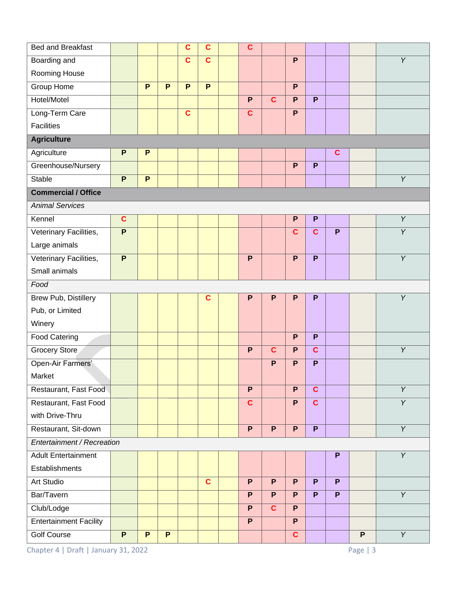| <b>Bed and Breakfast</b>      |                         |                |                | $\mathbf c$    | $\mathbf c$    |  | $\mathbf c$    |                         |                |                         |                           |                |                |
|-------------------------------|-------------------------|----------------|----------------|----------------|----------------|--|----------------|-------------------------|----------------|-------------------------|---------------------------|----------------|----------------|
| Boarding and                  |                         |                |                | $\mathbf c$    | $\mathbf c$    |  |                |                         | $\mathsf{P}$   |                         |                           |                | Y              |
| Rooming House                 |                         |                |                |                |                |  |                |                         |                |                         |                           |                |                |
| <b>Group Home</b>             |                         | $\overline{P}$ | $\overline{P}$ | $\overline{P}$ | $\overline{P}$ |  |                |                         | $\overline{P}$ |                         |                           |                |                |
| Hotel/Motel                   |                         |                |                |                |                |  | $\mathsf{P}$   | $\mathbf c$             | $\mathsf{P}$   | P                       |                           |                |                |
| Long-Term Care                |                         |                |                | $\mathbf{C}$   |                |  | $\mathbf c$    |                         | $\mathsf{P}$   |                         |                           |                |                |
| <b>Facilities</b>             |                         |                |                |                |                |  |                |                         |                |                         |                           |                |                |
| <b>Agriculture</b>            |                         |                |                |                |                |  |                |                         |                |                         |                           |                |                |
| Agriculture                   | $\mathsf{P}$            | $\mathsf{P}$   |                |                |                |  |                |                         |                |                         | $\mathbf c$               |                |                |
| Greenhouse/Nursery            |                         |                |                |                |                |  |                |                         | $\overline{P}$ | P                       |                           |                |                |
| <b>Stable</b>                 | $\overline{P}$          | $\overline{P}$ |                |                |                |  |                |                         |                |                         |                           |                | $\overline{Y}$ |
| <b>Commercial / Office</b>    |                         |                |                |                |                |  |                |                         |                |                         |                           |                |                |
| <b>Animal Services</b>        |                         |                |                |                |                |  |                |                         |                |                         |                           |                |                |
| Kennel                        | $\overline{\mathbf{c}}$ |                |                |                |                |  |                |                         | $\mathsf{P}$   | $\mathsf{P}$            |                           |                | $\overline{Y}$ |
| Veterinary Facilities,        | P                       |                |                |                |                |  |                |                         | $\mathbf c$    | $\mathbf{C}$            | P                         |                | $\overline{Y}$ |
| Large animals                 |                         |                |                |                |                |  |                |                         |                |                         |                           |                |                |
| Veterinary Facilities,        | $\mathsf{P}$            |                |                |                |                |  | $\mathsf{P}$   |                         | $\mathsf{P}$   | P                       |                           |                | $\overline{Y}$ |
| Small animals                 |                         |                |                |                |                |  |                |                         |                |                         |                           |                |                |
| Food                          |                         |                |                |                |                |  |                |                         |                |                         |                           |                |                |
| Brew Pub, Distillery          |                         |                |                |                | $\mathbf c$    |  | P              | $\mathsf{P}$            | $\mathsf{P}$   | P                       |                           |                | Y              |
| Pub, or Limited               |                         |                |                |                |                |  |                |                         |                |                         |                           |                |                |
| Winery                        |                         |                |                |                |                |  |                |                         |                |                         |                           |                |                |
| <b>Food Catering</b>          |                         |                |                |                |                |  |                |                         | $\mathsf{P}$   | P                       |                           |                |                |
| <b>Grocery Store</b>          |                         |                |                |                |                |  | $\overline{P}$ | $\overline{\mathbf{c}}$ | $\overline{P}$ | $\overline{\mathbf{c}}$ |                           |                | $\overline{Y}$ |
| Open-Air Farmers'             |                         |                |                |                |                |  |                | P                       | $\mathsf{P}$   | P                       |                           |                |                |
| Market                        |                         |                |                |                |                |  |                |                         |                |                         |                           |                |                |
| Restaurant, Fast Food         |                         |                |                |                |                |  | P              |                         | P              | $\overline{\mathbf{c}}$ |                           |                | $\overline{Y}$ |
| Restaurant, Fast Food         |                         |                |                |                |                |  | $\overline{c}$ |                         | $\overline{P}$ | $\overline{\mathbf{c}}$ |                           |                | $\overline{Y}$ |
| with Drive-Thru               |                         |                |                |                |                |  |                |                         |                |                         |                           |                |                |
| Restaurant, Sit-down          |                         |                |                |                |                |  | $\mathsf{P}$   | $\mathsf{P}$            | P              | P                       |                           |                | $\overline{Y}$ |
| Entertainment / Recreation    |                         |                |                |                |                |  |                |                         |                |                         |                           |                |                |
| <b>Adult Entertainment</b>    |                         |                |                |                |                |  |                |                         |                |                         | $\boldsymbol{\mathsf{P}}$ |                | $\overline{Y}$ |
| Establishments                |                         |                |                |                |                |  |                |                         |                |                         |                           |                |                |
| Art Studio                    |                         |                |                |                | $\mathbf{C}$   |  | P              | $\mathsf{P}$            | P              | P                       | P                         |                |                |
| Bar/Tavern                    |                         |                |                |                |                |  | $\mathsf{P}$   | P                       | P.             | P                       | P                         |                | $\overline{Y}$ |
| Club/Lodge                    |                         |                |                |                |                |  | $\overline{P}$ | $\overline{\mathbf{c}}$ | $\overline{P}$ |                         |                           |                |                |
| <b>Entertainment Facility</b> |                         |                |                |                |                |  | $\mathsf{P}$   |                         | P              |                         |                           |                |                |
| <b>Golf Course</b>            | $\mathsf{P}$            | $\mathsf{P}$   | $\mathsf{P}$   |                |                |  |                |                         | $\mathbf{C}$   |                         |                           | $\overline{P}$ | $\overline{Y}$ |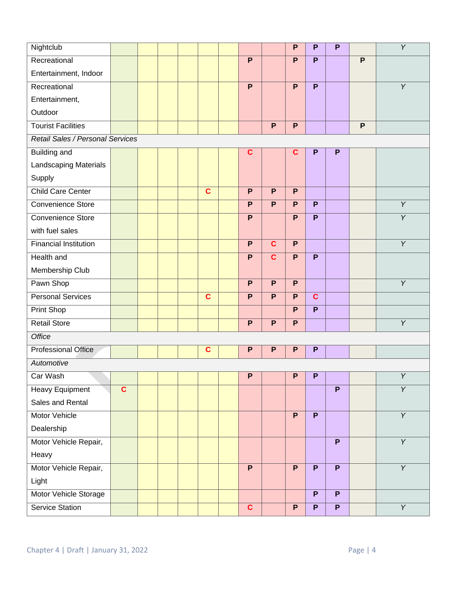| Nightclub                        |              |  |  |  |              |  |              |                | $\mathsf{P}$   | P              | P              |   | $\overline{Y}$ |
|----------------------------------|--------------|--|--|--|--------------|--|--------------|----------------|----------------|----------------|----------------|---|----------------|
| Recreational                     |              |  |  |  |              |  | P            |                | P              | P              |                | P |                |
| Entertainment, Indoor            |              |  |  |  |              |  |              |                |                |                |                |   |                |
| Recreational                     |              |  |  |  |              |  | $\mathsf{P}$ |                | $\mathsf{P}$   | $\mathsf{P}$   |                |   | $\overline{Y}$ |
| Entertainment,                   |              |  |  |  |              |  |              |                |                |                |                |   |                |
| Outdoor                          |              |  |  |  |              |  |              |                |                |                |                |   |                |
| <b>Tourist Facilities</b>        |              |  |  |  |              |  |              | $\mathsf{P}$   | $\mathsf{P}$   |                |                | P |                |
| Retail Sales / Personal Services |              |  |  |  |              |  |              |                |                |                |                |   |                |
| <b>Building and</b>              |              |  |  |  |              |  | $\mathbf c$  |                | $\mathbf c$    | P              | P              |   |                |
| Landscaping Materials            |              |  |  |  |              |  |              |                |                |                |                |   |                |
| Supply                           |              |  |  |  |              |  |              |                |                |                |                |   |                |
| Child Care Center                |              |  |  |  | $\mathbf{C}$ |  | P            | P              | P              |                |                |   |                |
| Convenience Store                |              |  |  |  |              |  | P            | P              | P              | P              |                |   | $\overline{Y}$ |
| <b>Convenience Store</b>         |              |  |  |  |              |  | P            |                | $\overline{P}$ | P              |                |   | $\overline{Y}$ |
| with fuel sales                  |              |  |  |  |              |  |              |                |                |                |                |   |                |
| <b>Financial Institution</b>     |              |  |  |  |              |  | $\mathsf{P}$ | $\mathbf{C}$   | $\mathsf{P}$   |                |                |   | $\overline{Y}$ |
| <b>Health and</b>                |              |  |  |  |              |  | $\mathsf{P}$ | $\mathbf c$    | $\mathsf{P}$   | $\mathsf{P}$   |                |   |                |
| Membership Club                  |              |  |  |  |              |  |              |                |                |                |                |   |                |
| Pawn Shop                        |              |  |  |  |              |  | P            | $\overline{P}$ | P              |                |                |   | $\overline{Y}$ |
| <b>Personal Services</b>         |              |  |  |  | $\mathbf c$  |  | $\mathsf{P}$ | P              | $\mathsf{P}$   | $\mathbf{C}$   |                |   |                |
| Print Shop                       |              |  |  |  |              |  |              |                | P              | P              |                |   |                |
| <b>Retail Store</b>              |              |  |  |  |              |  | P            | $\overline{P}$ | P              |                |                |   | $\overline{Y}$ |
| <b>Office</b>                    |              |  |  |  |              |  |              |                |                |                |                |   |                |
| <b>Professional Office</b>       |              |  |  |  | C            |  | P            | P              | ${\sf P}$      | P              |                |   |                |
| Automotive                       |              |  |  |  |              |  |              |                |                |                |                |   |                |
| Car Wash                         |              |  |  |  |              |  | P            |                | P              | $\mathsf{P}$   |                |   | $\overline{Y}$ |
| <b>Heavy Equipment</b>           | $\mathbf{C}$ |  |  |  |              |  |              |                |                |                | P              |   | $\overline{Y}$ |
| Sales and Rental                 |              |  |  |  |              |  |              |                |                |                |                |   |                |
| Motor Vehicle                    |              |  |  |  |              |  |              |                | $\overline{P}$ | $\overline{P}$ |                |   | $\overline{Y}$ |
| Dealership                       |              |  |  |  |              |  |              |                |                |                |                |   |                |
| Motor Vehicle Repair,            |              |  |  |  |              |  |              |                |                |                | P              |   | $\overline{Y}$ |
| Heavy                            |              |  |  |  |              |  |              |                |                |                |                |   |                |
| Motor Vehicle Repair,            |              |  |  |  |              |  | P            |                | $\mathsf{P}$   | P              | P              |   | $\overline{Y}$ |
| Light                            |              |  |  |  |              |  |              |                |                |                |                |   |                |
| Motor Vehicle Storage            |              |  |  |  |              |  |              |                |                | P              | $\overline{P}$ |   |                |
| Service Station                  |              |  |  |  |              |  | $\mathbf{C}$ |                | P              | $\mathsf{P}$   | $\mathsf{P}$   |   | $\overline{Y}$ |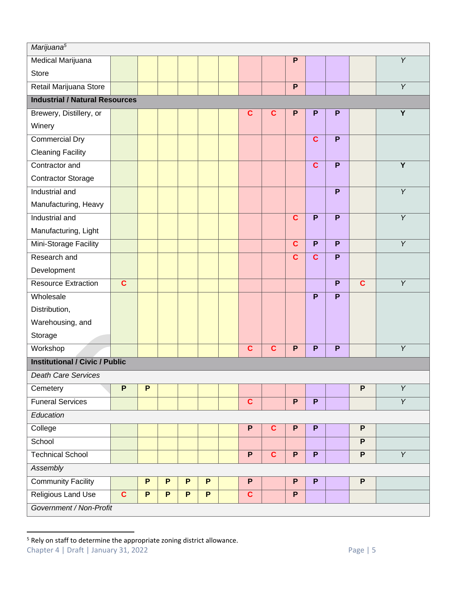| Marijuana <sup>5</sup>                |              |              |              |   |   |  |                         |              |                         |                         |                |                           |                |
|---------------------------------------|--------------|--------------|--------------|---|---|--|-------------------------|--------------|-------------------------|-------------------------|----------------|---------------------------|----------------|
| Medical Marijuana                     |              |              |              |   |   |  |                         |              | $\mathsf{P}$            |                         |                |                           | Υ              |
| <b>Store</b>                          |              |              |              |   |   |  |                         |              |                         |                         |                |                           |                |
| Retail Marijuana Store                |              |              |              |   |   |  |                         |              | P                       |                         |                |                           | $\overline{Y}$ |
| <b>Industrial / Natural Resources</b> |              |              |              |   |   |  |                         |              |                         |                         |                |                           |                |
| Brewery, Distillery, or               |              |              |              |   |   |  | $\mathbf c$             | $\mathbf c$  | P                       | P                       | P              |                           | Y              |
| Winery                                |              |              |              |   |   |  |                         |              |                         |                         |                |                           |                |
| <b>Commercial Dry</b>                 |              |              |              |   |   |  |                         |              |                         | $\overline{\mathbf{c}}$ | $\overline{P}$ |                           |                |
| <b>Cleaning Facility</b>              |              |              |              |   |   |  |                         |              |                         |                         |                |                           |                |
| Contractor and                        |              |              |              |   |   |  |                         |              |                         | $\mathbf c$             | P              |                           | $\overline{Y}$ |
| <b>Contractor Storage</b>             |              |              |              |   |   |  |                         |              |                         |                         |                |                           |                |
| Industrial and                        |              |              |              |   |   |  |                         |              |                         |                         | P              |                           | $\overline{Y}$ |
| Manufacturing, Heavy                  |              |              |              |   |   |  |                         |              |                         |                         |                |                           |                |
| Industrial and                        |              |              |              |   |   |  |                         |              | $\overline{\mathbf{c}}$ | $\overline{P}$          | $\overline{P}$ |                           | $\overline{Y}$ |
| Manufacturing, Light                  |              |              |              |   |   |  |                         |              |                         |                         |                |                           |                |
| Mini-Storage Facility                 |              |              |              |   |   |  |                         |              | $\mathbf c$             | P                       | P              |                           | $\overline{Y}$ |
| Research and                          |              |              |              |   |   |  |                         |              | $\mathbf c$             | $\mathbf c$             | P              |                           |                |
| Development                           |              |              |              |   |   |  |                         |              |                         |                         |                |                           |                |
| <b>Resource Extraction</b>            | $\mathbf c$  |              |              |   |   |  |                         |              |                         |                         | $\overline{P}$ | C                         | $\overline{Y}$ |
| Wholesale                             |              |              |              |   |   |  |                         |              |                         | P                       | P              |                           |                |
| Distribution,                         |              |              |              |   |   |  |                         |              |                         |                         |                |                           |                |
| Warehousing, and                      |              |              |              |   |   |  |                         |              |                         |                         |                |                           |                |
| Storage                               |              |              |              |   |   |  |                         |              |                         |                         |                |                           |                |
| Workshop                              |              |              |              |   |   |  | $\mathbf c$             | $\mathbf c$  | $\mathsf{P}$            | P                       | P              |                           | $\overline{Y}$ |
| <b>Institutional / Civic / Public</b> |              |              |              |   |   |  |                         |              |                         |                         |                |                           |                |
| <b>Death Care Services</b>            |              |              |              |   |   |  |                         |              |                         |                         |                |                           |                |
| Cemetery                              | $\mathsf{P}$ | $\mathsf{P}$ |              |   |   |  |                         |              |                         |                         |                | $\overline{P}$            | $\overline{Y}$ |
| <b>Funeral Services</b>               |              |              |              |   |   |  | $\overline{\mathbf{c}}$ |              | $\overline{P}$          | $\overline{P}$          |                |                           | $\overline{Y}$ |
| Education                             |              |              |              |   |   |  |                         |              |                         |                         |                |                           |                |
| College                               |              |              |              |   |   |  | $\mathsf P$             | $\mathbf c$  | $\mathsf{P}$            | P                       |                | $\boldsymbol{\mathsf{P}}$ |                |
| School                                |              |              |              |   |   |  |                         |              |                         |                         |                | $\overline{P}$            |                |
| <b>Technical School</b>               |              |              |              |   |   |  | $\mathsf{P}$            | $\mathbf{C}$ | P                       | P                       |                | $\overline{P}$            | $\overline{Y}$ |
| <b>Assembly</b>                       |              |              |              |   |   |  |                         |              |                         |                         |                |                           |                |
| <b>Community Facility</b>             |              | P            | $\mathsf{P}$ | P | P |  | $\mathsf P$             |              | P                       | $\overline{P}$          |                | $\overline{P}$            |                |
| <b>Religious Land Use</b>             | $\mathbf{C}$ | $\mathsf P$  | $\mathsf P$  | P | P |  | $\mathbf{C}$            |              | P                       |                         |                |                           |                |
| Government / Non-Profit               |              |              |              |   |   |  |                         |              |                         |                         |                |                           |                |

Chapter 4 | Draft | January 31, 2022 **Page 19 | System Access Page 19** | 5 <sup>5</sup> Rely on staff to determine the appropriate zoning district allowance.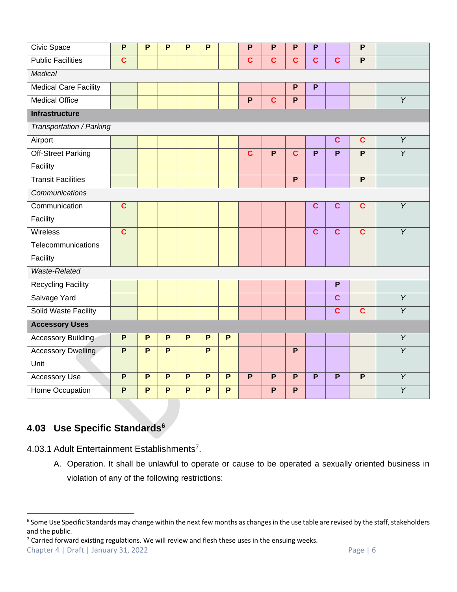| Civic Space                  | $\overline{P}$          | P              | P              | P              | P              |                | P                       | P                       | P                       | P                       |                         | P                       |                |
|------------------------------|-------------------------|----------------|----------------|----------------|----------------|----------------|-------------------------|-------------------------|-------------------------|-------------------------|-------------------------|-------------------------|----------------|
| <b>Public Facilities</b>     | $\mathbf c$             |                |                |                |                |                | $\overline{c}$          | $\mathbf c$             | $\overline{c}$          | $\mathbf c$             | $\mathbf{C}$            | $\mathsf{P}$            |                |
| Medical                      |                         |                |                |                |                |                |                         |                         |                         |                         |                         |                         |                |
| <b>Medical Care Facility</b> |                         |                |                |                |                |                |                         |                         | P                       | P                       |                         |                         |                |
| <b>Medical Office</b>        |                         |                |                |                |                |                | $\overline{P}$          | $\overline{\mathbf{c}}$ | $\overline{P}$          |                         |                         |                         | $\overline{Y}$ |
| <b>Infrastructure</b>        |                         |                |                |                |                |                |                         |                         |                         |                         |                         |                         |                |
| Transportation / Parking     |                         |                |                |                |                |                |                         |                         |                         |                         |                         |                         |                |
| Airport                      |                         |                |                |                |                |                |                         |                         |                         |                         | $\mathbf{C}$            | $\mathbf c$             | $\overline{Y}$ |
| <b>Off-Street Parking</b>    |                         |                |                |                |                |                | $\overline{\mathbf{c}}$ | $\overline{P}$          | $\overline{\mathbf{c}}$ | $\overline{\mathsf{P}}$ | $\overline{\mathsf{P}}$ | $\overline{P}$          | $\overline{Y}$ |
| Facility                     |                         |                |                |                |                |                |                         |                         |                         |                         |                         |                         |                |
| <b>Transit Facilities</b>    |                         |                |                |                |                |                |                         |                         | $\overline{P}$          |                         |                         | $\mathsf{P}$            |                |
| Communications               |                         |                |                |                |                |                |                         |                         |                         |                         |                         |                         |                |
| Communication                | $\overline{\mathbf{c}}$ |                |                |                |                |                |                         |                         |                         | $\overline{\mathbf{c}}$ | $\overline{c}$          | $\overline{\mathbf{c}}$ | $\overline{Y}$ |
| Facility                     |                         |                |                |                |                |                |                         |                         |                         |                         |                         |                         |                |
| Wireless                     | $\overline{\mathbf{c}}$ |                |                |                |                |                |                         |                         |                         | $\overline{\mathbf{c}}$ | $\overline{\mathbf{c}}$ | $\overline{\mathbf{c}}$ | $\overline{Y}$ |
| Telecommunications           |                         |                |                |                |                |                |                         |                         |                         |                         |                         |                         |                |
| Facility                     |                         |                |                |                |                |                |                         |                         |                         |                         |                         |                         |                |
| Waste-Related                |                         |                |                |                |                |                |                         |                         |                         |                         |                         |                         |                |
| <b>Recycling Facility</b>    |                         |                |                |                |                |                |                         |                         |                         |                         | $\overline{P}$          |                         |                |
| Salvage Yard                 |                         |                |                |                |                |                |                         |                         |                         |                         | $\overline{\mathbf{c}}$ |                         | $\overline{Y}$ |
| <b>Solid Waste Facility</b>  |                         |                |                |                |                |                |                         |                         |                         |                         | $\overline{\mathbf{c}}$ | $\overline{\mathbf{c}}$ | $\overline{Y}$ |
| <b>Accessory Uses</b>        |                         |                |                |                |                |                |                         |                         |                         |                         |                         |                         |                |
| <b>Accessory Building</b>    | $\mathsf{P}$            | P              | P              | P              | P              | P              |                         |                         |                         |                         |                         |                         | $\overline{Y}$ |
| <b>Accessory Dwelling</b>    | $\overline{P}$          | $\overline{P}$ | $\overline{P}$ |                | $\overline{P}$ |                |                         |                         | $\overline{P}$          |                         |                         |                         | $\overline{Y}$ |
| Unit                         |                         |                |                |                |                |                |                         |                         |                         |                         |                         |                         |                |
| <b>Accessory Use</b>         | $\overline{P}$          | $\overline{P}$ | $\overline{P}$ | $\overline{P}$ | $\overline{P}$ | $\overline{P}$ | $\overline{P}$          | $\overline{P}$          | $\overline{P}$          | $\overline{\mathsf{P}}$ | $\overline{P}$          | $\overline{P}$          | $\overline{Y}$ |
| Home Occupation              | $\overline{P}$          | P              | $\overline{P}$ | P              | P              | P              |                         | P                       | $\overline{P}$          |                         |                         |                         | $\overline{Y}$ |

# **4.03 Use Specific Standards<sup>6</sup>**

4.03.1 Adult Entertainment Establishments<sup>7</sup>.

A. Operation. It shall be unlawful to operate or cause to be operated a sexually oriented business in violation of any of the following restrictions:

Chapter 4 | Draft | January 31, 2022 Page | 6  $7$  Carried forward existing regulations. We will review and flesh these uses in the ensuing weeks.

 $^6$  Some Use Specific Standards may change within the next few months as changes in the use table are revised by the staff, stakeholders and the public.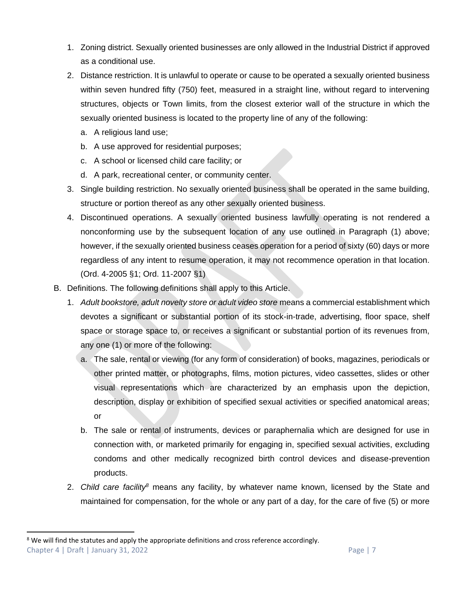- 1. Zoning district. Sexually oriented businesses are only allowed in the Industrial District if approved as a conditional use.
- 2. Distance restriction. It is unlawful to operate or cause to be operated a sexually oriented business within seven hundred fifty (750) feet, measured in a straight line, without regard to intervening structures, objects or Town limits, from the closest exterior wall of the structure in which the sexually oriented business is located to the property line of any of the following:
	- a. A religious land use;
	- b. A use approved for residential purposes;
	- c. A school or licensed child care facility; or
	- d. A park, recreational center, or community center.
- 3. Single building restriction. No sexually oriented business shall be operated in the same building, structure or portion thereof as any other sexually oriented business.
- 4. Discontinued operations. A sexually oriented business lawfully operating is not rendered a nonconforming use by the subsequent location of any use outlined in Paragraph (1) above; however, if the sexually oriented business ceases operation for a period of sixty (60) days or more regardless of any intent to resume operation, it may not recommence operation in that location. (Ord. 4-2005 §1; Ord. 11-2007 §1)
- B. Definitions. The following definitions shall apply to this Article.
	- 1. *Adult bookstore, adult novelty store or adult video store* means a commercial establishment which devotes a significant or substantial portion of its stock-in-trade, advertising, floor space, shelf space or storage space to, or receives a significant or substantial portion of its revenues from, any one (1) or more of the following:
		- a. The sale, rental or viewing (for any form of consideration) of books, magazines, periodicals or other printed matter, or photographs, films, motion pictures, video cassettes, slides or other visual representations which are characterized by an emphasis upon the depiction, description, display or exhibition of specified sexual activities or specified anatomical areas; or
		- b. The sale or rental of instruments, devices or paraphernalia which are designed for use in connection with, or marketed primarily for engaging in, specified sexual activities, excluding condoms and other medically recognized birth control devices and disease-prevention products.
	- 2. *Child care facility<sup>8</sup>* means any facility, by whatever name known, licensed by the State and maintained for compensation, for the whole or any part of a day, for the care of five (5) or more

Chapter 4 | Draft | January 31, 2022 Page | 7  $8$  We will find the statutes and apply the appropriate definitions and cross reference accordingly.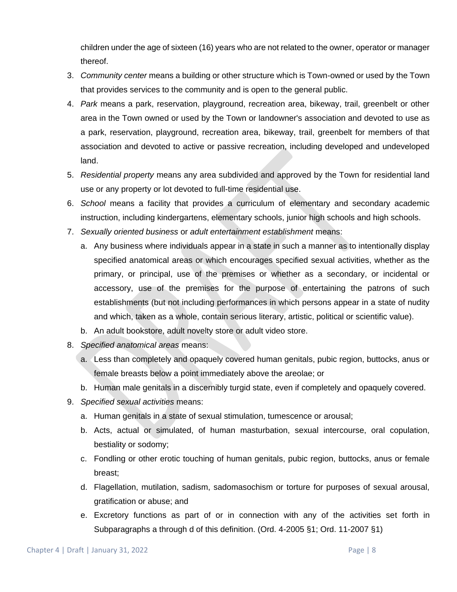children under the age of sixteen (16) years who are not related to the owner, operator or manager thereof.

- 3. *Community center* means a building or other structure which is Town-owned or used by the Town that provides services to the community and is open to the general public.
- 4. *Park* means a park, reservation, playground, recreation area, bikeway, trail, greenbelt or other area in the Town owned or used by the Town or landowner's association and devoted to use as a park, reservation, playground, recreation area, bikeway, trail, greenbelt for members of that association and devoted to active or passive recreation, including developed and undeveloped land.
- 5. *Residential property* means any area subdivided and approved by the Town for residential land use or any property or lot devoted to full-time residential use.
- 6. *School* means a facility that provides a curriculum of elementary and secondary academic instruction, including kindergartens, elementary schools, junior high schools and high schools.
- 7. *Sexually oriented business* or *adult entertainment establishment* means:
	- a. Any business where individuals appear in a state in such a manner as to intentionally display specified anatomical areas or which encourages specified sexual activities, whether as the primary, or principal, use of the premises or whether as a secondary, or incidental or accessory, use of the premises for the purpose of entertaining the patrons of such establishments (but not including performances in which persons appear in a state of nudity and which, taken as a whole, contain serious literary, artistic, political or scientific value).
	- b. An adult bookstore, adult novelty store or adult video store.
- 8. *Specified anatomical areas* means:
	- a. Less than completely and opaquely covered human genitals, pubic region, buttocks, anus or female breasts below a point immediately above the areolae; or
	- b. Human male genitals in a discernibly turgid state, even if completely and opaquely covered.
- 9. *Specified sexual activities* means:
	- a. Human genitals in a state of sexual stimulation, tumescence or arousal;
	- b. Acts, actual or simulated, of human masturbation, sexual intercourse, oral copulation, bestiality or sodomy;
	- c. Fondling or other erotic touching of human genitals, pubic region, buttocks, anus or female breast;
	- d. Flagellation, mutilation, sadism, sadomasochism or torture for purposes of sexual arousal, gratification or abuse; and
	- e. Excretory functions as part of or in connection with any of the activities set forth in Subparagraphs a through d of this definition. (Ord. 4-2005 §1; Ord. 11-2007 §1)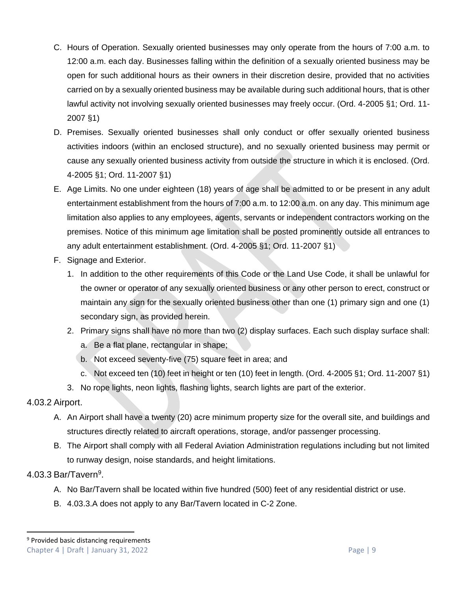- C. Hours of Operation. Sexually oriented businesses may only operate from the hours of 7:00 a.m. to 12:00 a.m. each day. Businesses falling within the definition of a sexually oriented business may be open for such additional hours as their owners in their discretion desire, provided that no activities carried on by a sexually oriented business may be available during such additional hours, that is other lawful activity not involving sexually oriented businesses may freely occur. (Ord. 4-2005 §1; Ord. 11- 2007 §1)
- D. Premises. Sexually oriented businesses shall only conduct or offer sexually oriented business activities indoors (within an enclosed structure), and no sexually oriented business may permit or cause any sexually oriented business activity from outside the structure in which it is enclosed. (Ord. 4-2005 §1; Ord. 11-2007 §1)
- E. Age Limits. No one under eighteen (18) years of age shall be admitted to or be present in any adult entertainment establishment from the hours of 7:00 a.m. to 12:00 a.m. on any day. This minimum age limitation also applies to any employees, agents, servants or independent contractors working on the premises. Notice of this minimum age limitation shall be posted prominently outside all entrances to any adult entertainment establishment. (Ord. 4-2005 §1; Ord. 11-2007 §1)
- F. Signage and Exterior.
	- 1. In addition to the other requirements of this Code or the Land Use Code, it shall be unlawful for the owner or operator of any sexually oriented business or any other person to erect, construct or maintain any sign for the sexually oriented business other than one (1) primary sign and one (1) secondary sign, as provided herein.
	- 2. Primary signs shall have no more than two (2) display surfaces. Each such display surface shall:
		- a. Be a flat plane, rectangular in shape;
		- b. Not exceed seventy-five (75) square feet in area; and
		- c. Not exceed ten (10) feet in height or ten (10) feet in length. (Ord. 4-2005 §1; Ord. 11-2007 §1)
	- 3. No rope lights, neon lights, flashing lights, search lights are part of the exterior.

#### 4.03.2 Airport.

- A. An Airport shall have a twenty (20) acre minimum property size for the overall site, and buildings and structures directly related to aircraft operations, storage, and/or passenger processing.
- B. The Airport shall comply with all Federal Aviation Administration regulations including but not limited to runway design, noise standards, and height limitations.

#### 4.03.3 Bar/Tavern<sup>9</sup>.

- A. No Bar/Tavern shall be located within five hundred (500) feet of any residential district or use.
- B. 4.03.3.A does not apply to any Bar/Tavern located in C-2 Zone.

#### Chapter 4 | Draft | January 31, 2022 Page | 9 <sup>9</sup> Provided basic distancing requirements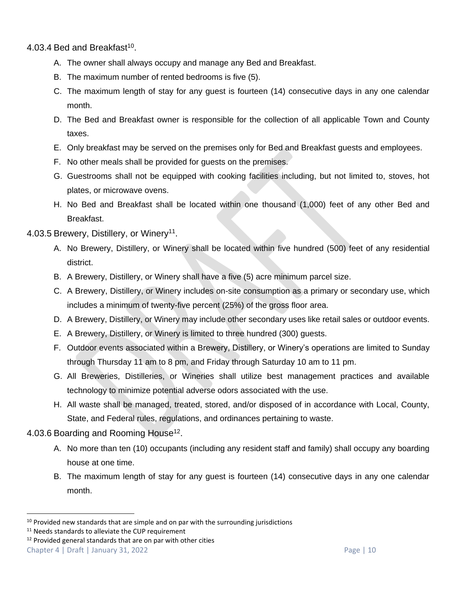4.03.4 Bed and Breakfast<sup>10</sup>.

- A. The owner shall always occupy and manage any Bed and Breakfast.
- B. The maximum number of rented bedrooms is five (5).
- C. The maximum length of stay for any guest is fourteen (14) consecutive days in any one calendar month.
- D. The Bed and Breakfast owner is responsible for the collection of all applicable Town and County taxes.
- E. Only breakfast may be served on the premises only for Bed and Breakfast guests and employees.
- F. No other meals shall be provided for guests on the premises.
- G. Guestrooms shall not be equipped with cooking facilities including, but not limited to, stoves, hot plates, or microwave ovens.
- H. No Bed and Breakfast shall be located within one thousand (1,000) feet of any other Bed and Breakfast.

#### 4.03.5 Brewery, Distillery, or Winery<sup>11</sup>.

- A. No Brewery, Distillery, or Winery shall be located within five hundred (500) feet of any residential district.
- B. A Brewery, Distillery, or Winery shall have a five (5) acre minimum parcel size.
- C. A Brewery, Distillery, or Winery includes on-site consumption as a primary or secondary use, which includes a minimum of twenty-five percent (25%) of the gross floor area.
- D. A Brewery, Distillery, or Winery may include other secondary uses like retail sales or outdoor events.
- E. A Brewery, Distillery, or Winery is limited to three hundred (300) guests.
- F. Outdoor events associated within a Brewery, Distillery, or Winery's operations are limited to Sunday through Thursday 11 am to 8 pm, and Friday through Saturday 10 am to 11 pm.
- G. All Breweries, Distilleries, or Wineries shall utilize best management practices and available technology to minimize potential adverse odors associated with the use.
- H. All waste shall be managed, treated, stored, and/or disposed of in accordance with Local, County, State, and Federal rules, regulations, and ordinances pertaining to waste.

# 4.03.6 Boarding and Rooming House<sup>12</sup>.

- A. No more than ten (10) occupants (including any resident staff and family) shall occupy any boarding house at one time.
- B. The maximum length of stay for any guest is fourteen (14) consecutive days in any one calendar month.

 $10$  Provided new standards that are simple and on par with the surrounding jurisdictions

<sup>&</sup>lt;sup>11</sup> Needs standards to alleviate the CUP requirement

 $12$  Provided general standards that are on par with other cities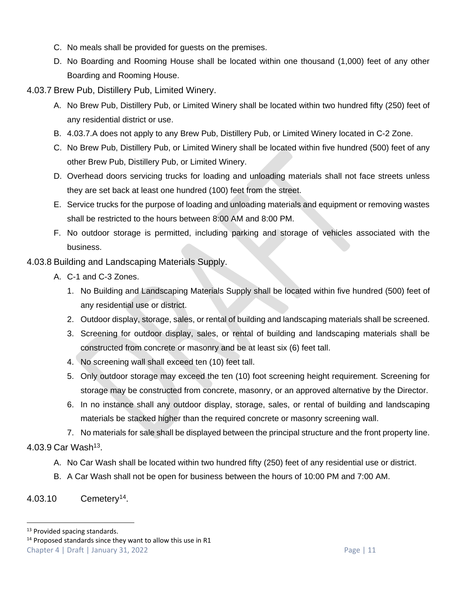- C. No meals shall be provided for guests on the premises.
- D. No Boarding and Rooming House shall be located within one thousand (1,000) feet of any other Boarding and Rooming House.

4.03.7 Brew Pub, Distillery Pub, Limited Winery.

- A. No Brew Pub, Distillery Pub, or Limited Winery shall be located within two hundred fifty (250) feet of any residential district or use.
- B. 4.03.7.A does not apply to any Brew Pub, Distillery Pub, or Limited Winery located in C-2 Zone.
- C. No Brew Pub, Distillery Pub, or Limited Winery shall be located within five hundred (500) feet of any other Brew Pub, Distillery Pub, or Limited Winery.
- D. Overhead doors servicing trucks for loading and unloading materials shall not face streets unless they are set back at least one hundred (100) feet from the street.
- E. Service trucks for the purpose of loading and unloading materials and equipment or removing wastes shall be restricted to the hours between 8:00 AM and 8:00 PM.
- F. No outdoor storage is permitted, including parking and storage of vehicles associated with the business.
- 4.03.8 Building and Landscaping Materials Supply.
	- A. C-1 and C-3 Zones.
		- 1. No Building and Landscaping Materials Supply shall be located within five hundred (500) feet of any residential use or district.
		- 2. Outdoor display, storage, sales, or rental of building and landscaping materials shall be screened.
		- 3. Screening for outdoor display, sales, or rental of building and landscaping materials shall be constructed from concrete or masonry and be at least six (6) feet tall.
		- 4. No screening wall shall exceed ten (10) feet tall.
		- 5. Only outdoor storage may exceed the ten (10) foot screening height requirement. Screening for storage may be constructed from concrete, masonry, or an approved alternative by the Director.
		- 6. In no instance shall any outdoor display, storage, sales, or rental of building and landscaping materials be stacked higher than the required concrete or masonry screening wall.
- 7. No materials for sale shall be displayed between the principal structure and the front property line. 4.03.9 Car Wash<sup>13</sup>.
	- A. No Car Wash shall be located within two hundred fifty (250) feet of any residential use or district.
	- B. A Car Wash shall not be open for business between the hours of 10:00 PM and 7:00 AM.

# <span id="page-10-0"></span>4.03.10 Cemetery<sup>14</sup>.

<sup>&</sup>lt;sup>13</sup> Provided spacing standards.

Chapter 4 | Draft | January 31, 2022 Page | 11  $14$  Proposed standards since they want to allow this use in R1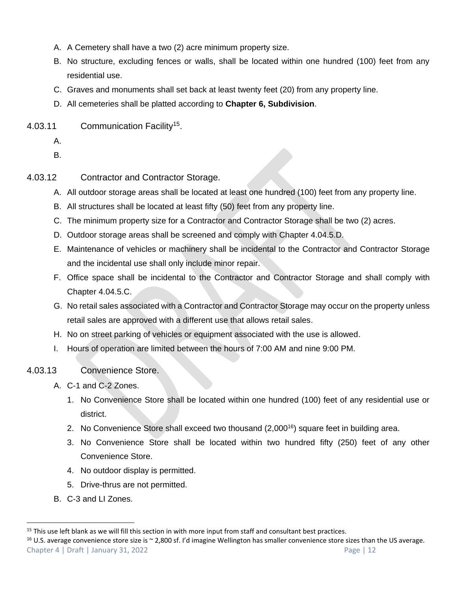- A. A Cemetery shall have a two (2) acre minimum property size.
- B. No structure, excluding fences or walls, shall be located within one hundred (100) feet from any residential use.
- C. Graves and monuments shall set back at least twenty feet (20) from any property line.
- D. All cemeteries shall be platted according to **Chapter 6, Subdivision**.
- 4.03.11 Communication Facility<sup>15</sup>.
	- A.

B.

- 4.03.12 Contractor and Contractor Storage.
	- A. All outdoor storage areas shall be located at least one hundred (100) feet from any property line.
	- B. All structures shall be located at least fifty (50) feet from any property line.
	- C. The minimum property size for a Contractor and Contractor Storage shall be two (2) acres.
	- D. Outdoor storage areas shall be screened and comply with Chapter 4.04.5[.D.](#page-33-0)
	- E. Maintenance of vehicles or machinery shall be incidental to the Contractor and Contractor Storage and the incidental use shall only include minor repair.
	- F. Office space shall be incidental to the Contractor and Contractor Storage and shall comply with Chapter 4.04.5[.C.](#page-33-1)
	- G. No retail sales associated with a Contractor and Contractor Storage may occur on the property unless retail sales are approved with a different use that allows retail sales.
	- H. No on street parking of vehicles or equipment associated with the use is allowed.
	- I. Hours of operation are limited between the hours of 7:00 AM and nine 9:00 PM.
- 4.03.13 Convenience Store.
	- A. C-1 and C-2 Zones.
		- 1. No Convenience Store shall be located within one hundred (100) feet of any residential use or district.
		- 2. No Convenience Store shall exceed two thousand (2,000<sup>16</sup>) square feet in building area.
		- 3. No Convenience Store shall be located within two hundred fifty (250) feet of any other Convenience Store.
		- 4. No outdoor display is permitted.
		- 5. Drive-thrus are not permitted.
	- B. C-3 and LI Zones.

Chapter 4 | Draft | January 31, 2022 Page | 12  $16$  U.S. average convenience store size is  $\sim$  2,800 sf. I'd imagine Wellington has smaller convenience store sizes than the US average.

 $15$  This use left blank as we will fill this section in with more input from staff and consultant best practices.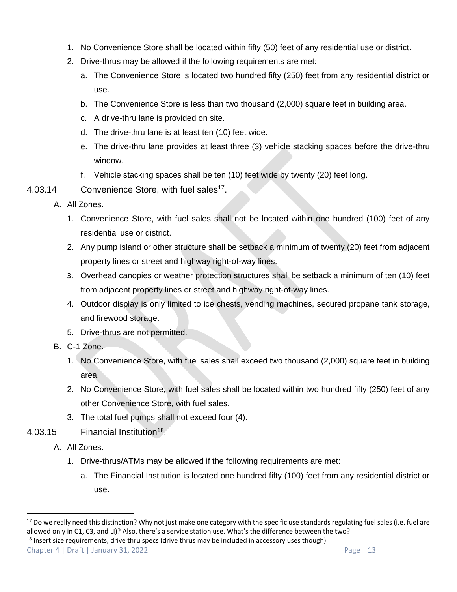- 1. No Convenience Store shall be located within fifty (50) feet of any residential use or district.
- 2. Drive-thrus may be allowed if the following requirements are met:
	- a. The Convenience Store is located two hundred fifty (250) feet from any residential district or use.
	- b. The Convenience Store is less than two thousand (2,000) square feet in building area.
	- c. A drive-thru lane is provided on site.
	- d. The drive-thru lane is at least ten (10) feet wide.
	- e. The drive-thru lane provides at least three (3) vehicle stacking spaces before the drive-thru window.
	- f. Vehicle stacking spaces shall be ten (10) feet wide by twenty (20) feet long.
- 4.03.14 Convenience Store, with fuel sales<sup>17</sup>.
	- A. All Zones.
		- 1. Convenience Store, with fuel sales shall not be located within one hundred (100) feet of any residential use or district.
		- 2. Any pump island or other structure shall be setback a minimum of twenty (20) feet from adjacent property lines or street and highway right-of-way lines.
		- 3. Overhead canopies or weather protection structures shall be setback a minimum of ten (10) feet from adjacent property lines or street and highway right-of-way lines.
		- 4. Outdoor display is only limited to ice chests, vending machines, secured propane tank storage, and firewood storage.
		- 5. Drive-thrus are not permitted.
	- B. C-1 Zone.
		- 1. No Convenience Store, with fuel sales shall exceed two thousand (2,000) square feet in building area.
		- 2. No Convenience Store, with fuel sales shall be located within two hundred fifty (250) feet of any other Convenience Store, with fuel sales.
		- 3. The total fuel pumps shall not exceed four (4).
- 4.03.15 Financial Institution<sup>18</sup>.
	- A. All Zones.
		- 1. Drive-thrus/ATMs may be allowed if the following requirements are met:
			- a. The Financial Institution is located one hundred fifty (100) feet from any residential district or use.

Chapter 4 | Draft | January 31, 2022 Page | 13 <sup>18</sup> Insert size requirements, drive thru specs (drive thrus may be included in accessory uses though)

<sup>&</sup>lt;sup>17</sup> Do we really need this distinction? Why not just make one category with the specific use standards regulating fuel sales (i.e. fuel are allowed only in C1, C3, and LI)? Also, there's a service station use. What's the difference between the two?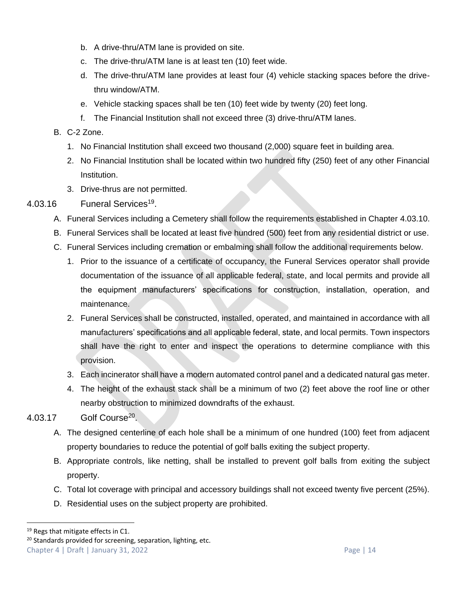- b. A drive-thru/ATM lane is provided on site.
- c. The drive-thru/ATM lane is at least ten (10) feet wide.
- d. The drive-thru/ATM lane provides at least four (4) vehicle stacking spaces before the drivethru window/ATM.
- e. Vehicle stacking spaces shall be ten (10) feet wide by twenty (20) feet long.
- f. The Financial Institution shall not exceed three (3) drive-thru/ATM lanes.

#### B. C-2 Zone.

- 1. No Financial Institution shall exceed two thousand (2,000) square feet in building area.
- 2. No Financial Institution shall be located within two hundred fifty (250) feet of any other Financial Institution.
- 3. Drive-thrus are not permitted.

# 4.03.16 Funeral Services<sup>19</sup>.

- A. Funeral Services including a Cemetery shall follow the requirements established in Chapter [4.03.10.](#page-10-0)
- B. Funeral Services shall be located at least five hundred (500) feet from any residential district or use.
- C. Funeral Services including cremation or embalming shall follow the additional requirements below.
	- 1. Prior to the issuance of a certificate of occupancy, the Funeral Services operator shall provide documentation of the issuance of all applicable federal, state, and local permits and provide all the equipment manufacturers' specifications for construction, installation, operation, and maintenance.
	- 2. Funeral Services shall be constructed, installed, operated, and maintained in accordance with all manufacturers' specifications and all applicable federal, state, and local permits. Town inspectors shall have the right to enter and inspect the operations to determine compliance with this provision.
	- 3. Each incinerator shall have a modern automated control panel and a dedicated natural gas meter.
	- 4. The height of the exhaust stack shall be a minimum of two (2) feet above the roof line or other nearby obstruction to minimized downdrafts of the exhaust.

# 4.03.17 Golf Course<sup>20</sup>.

- A. The designed centerline of each hole shall be a minimum of one hundred (100) feet from adjacent property boundaries to reduce the potential of golf balls exiting the subject property.
- B. Appropriate controls, like netting, shall be installed to prevent golf balls from exiting the subject property.
- C. Total lot coverage with principal and accessory buildings shall not exceed twenty five percent (25%).
- D. Residential uses on the subject property are prohibited.

<sup>&</sup>lt;sup>19</sup> Regs that mitigate effects in C1.

Chapter 4 | Draft | January 31, 2022 Page | 14 <sup>20</sup> Standards provided for screening, separation, lighting, etc.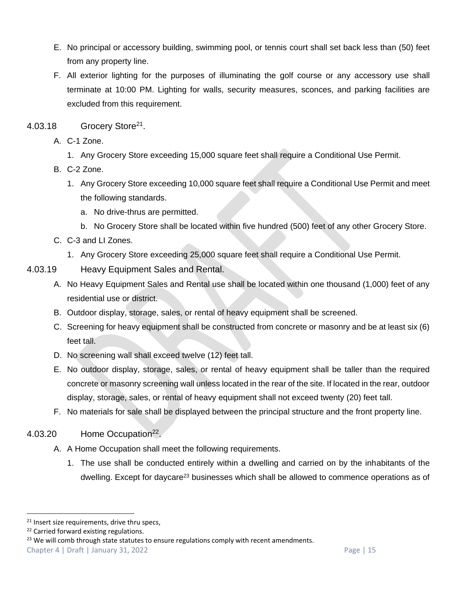- E. No principal or accessory building, swimming pool, or tennis court shall set back less than (50) feet from any property line.
- F. All exterior lighting for the purposes of illuminating the golf course or any accessory use shall terminate at 10:00 PM. Lighting for walls, security measures, sconces, and parking facilities are excluded from this requirement.
- 4.03.18 Grocery Store<sup>21</sup>.
	- A. C-1 Zone.
		- 1. Any Grocery Store exceeding 15,000 square feet shall require a Conditional Use Permit.
	- B. C-2 Zone.
		- 1. Any Grocery Store exceeding 10,000 square feet shall require a Conditional Use Permit and meet the following standards.
			- a. No drive-thrus are permitted.
			- b. No Grocery Store shall be located within five hundred (500) feet of any other Grocery Store.
	- C. C-3 and LI Zones.
		- 1. Any Grocery Store exceeding 25,000 square feet shall require a Conditional Use Permit.
- 4.03.19 Heavy Equipment Sales and Rental.
	- A. No Heavy Equipment Sales and Rental use shall be located within one thousand (1,000) feet of any residential use or district.
	- B. Outdoor display, storage, sales, or rental of heavy equipment shall be screened.
	- C. Screening for heavy equipment shall be constructed from concrete or masonry and be at least six (6) feet tall.
	- D. No screening wall shall exceed twelve (12) feet tall.
	- E. No outdoor display, storage, sales, or rental of heavy equipment shall be taller than the required concrete or masonry screening wall unless located in the rear of the site. If located in the rear, outdoor display, storage, sales, or rental of heavy equipment shall not exceed twenty (20) feet tall.
	- F. No materials for sale shall be displayed between the principal structure and the front property line.
- 4.03.20 Home Occupation<sup>22</sup>.
	- A. A Home Occupation shall meet the following requirements.
		- 1. The use shall be conducted entirely within a dwelling and carried on by the inhabitants of the dwelling. Except for daycare<sup>23</sup> businesses which shall be allowed to commence operations as of

<sup>23</sup> We will comb through state statutes to ensure regulations comply with recent amendments.

<sup>&</sup>lt;sup>21</sup> Insert size requirements, drive thru specs,

<sup>&</sup>lt;sup>22</sup> Carried forward existing regulations.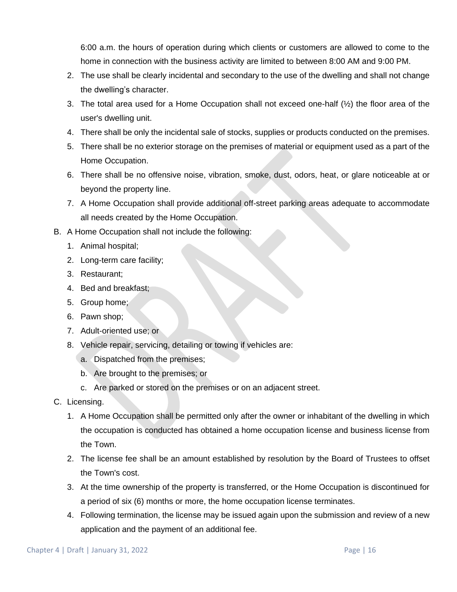6:00 a.m. the hours of operation during which clients or customers are allowed to come to the home in connection with the business activity are limited to between 8:00 AM and 9:00 PM.

- 2. The use shall be clearly incidental and secondary to the use of the dwelling and shall not change the dwelling's character.
- 3. The total area used for a Home Occupation shall not exceed one-half (½) the floor area of the user's dwelling unit.
- 4. There shall be only the incidental sale of stocks, supplies or products conducted on the premises.
- 5. There shall be no exterior storage on the premises of material or equipment used as a part of the Home Occupation.
- 6. There shall be no offensive noise, vibration, smoke, dust, odors, heat, or glare noticeable at or beyond the property line.
- 7. A Home Occupation shall provide additional off-street parking areas adequate to accommodate all needs created by the Home Occupation.
- B. A Home Occupation shall not include the following:
	- 1. Animal hospital;
	- 2. Long-term care facility;
	- 3. Restaurant;
	- 4. Bed and breakfast;
	- 5. Group home;
	- 6. Pawn shop;
	- 7. Adult-oriented use; or
	- 8. Vehicle repair, servicing, detailing or towing if vehicles are:
		- a. Dispatched from the premises;
		- b. Are brought to the premises; or
		- c. Are parked or stored on the premises or on an adjacent street.
- C. Licensing.
	- 1. A Home Occupation shall be permitted only after the owner or inhabitant of the dwelling in which the occupation is conducted has obtained a home occupation license and business license from the Town.
	- 2. The license fee shall be an amount established by resolution by the Board of Trustees to offset the Town's cost.
	- 3. At the time ownership of the property is transferred, or the Home Occupation is discontinued for a period of six (6) months or more, the home occupation license terminates.
	- 4. Following termination, the license may be issued again upon the submission and review of a new application and the payment of an additional fee.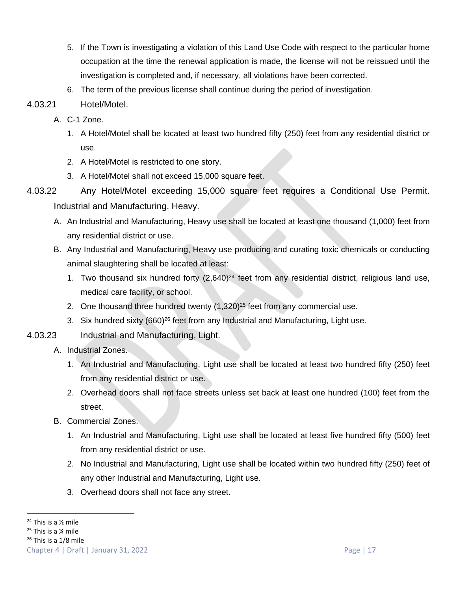- 5. If the Town is investigating a violation of this Land Use Code with respect to the particular home occupation at the time the renewal application is made, the license will not be reissued until the investigation is completed and, if necessary, all violations have been corrected.
- 6. The term of the previous license shall continue during the period of investigation.
- 4.03.21 Hotel/Motel.
	- A. C-1 Zone.
		- 1. A Hotel/Motel shall be located at least two hundred fifty (250) feet from any residential district or use.
		- 2. A Hotel/Motel is restricted to one story.
		- 3. A Hotel/Motel shall not exceed 15,000 square feet.
- 4.03.22 Any Hotel/Motel exceeding 15,000 square feet requires a Conditional Use Permit. Industrial and Manufacturing, Heavy.
	- A. An Industrial and Manufacturing, Heavy use shall be located at least one thousand (1,000) feet from any residential district or use.
	- B. Any Industrial and Manufacturing, Heavy use producing and curating toxic chemicals or conducting animal slaughtering shall be located at least:
		- 1. Two thousand six hundred forty  $(2,640)^{24}$  feet from any residential district, religious land use, medical care facility, or school.
		- 2. One thousand three hundred twenty  $(1,320)^{25}$  feet from any commercial use.
		- 3. Six hundred sixty (660)<sup>26</sup> feet from any Industrial and Manufacturing, Light use.
- 4.03.23 Industrial and Manufacturing, Light.
	- A. Industrial Zones.
		- 1. An Industrial and Manufacturing, Light use shall be located at least two hundred fifty (250) feet from any residential district or use.
		- 2. Overhead doors shall not face streets unless set back at least one hundred (100) feet from the street.
	- B. Commercial Zones.
		- 1. An Industrial and Manufacturing, Light use shall be located at least five hundred fifty (500) feet from any residential district or use.
		- 2. No Industrial and Manufacturing, Light use shall be located within two hundred fifty (250) feet of any other Industrial and Manufacturing, Light use.
		- 3. Overhead doors shall not face any street.

 $25$  This is a  $\frac{1}{4}$  mile

 $24$  This is a  $\frac{1}{2}$  mile

 $26$  This is a 1/8 mile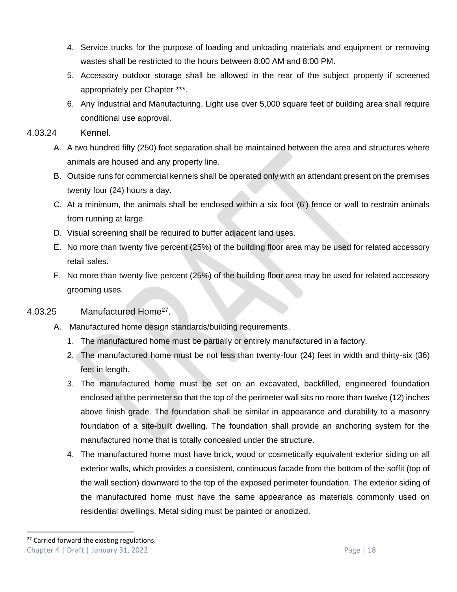- 4. Service trucks for the purpose of loading and unloading materials and equipment or removing wastes shall be restricted to the hours between 8:00 AM and 8:00 PM.
- 5. Accessory outdoor storage shall be allowed in the rear of the subject property if screened appropriately per Chapter \*\*\*.
- 6. Any Industrial and Manufacturing, Light use over 5,000 square feet of building area shall require conditional use approval.

#### 4.03.24 Kennel.

- A. A two hundred fifty (250) foot separation shall be maintained between the area and structures where animals are housed and any property line.
- B. Outside runs for commercial kennels shall be operated only with an attendant present on the premises twenty four (24) hours a day.
- C. At a minimum, the animals shall be enclosed within a six foot (6') fence or wall to restrain animals from running at large.
- D. Visual screening shall be required to buffer adjacent land uses.
- E. No more than twenty five percent (25%) of the building floor area may be used for related accessory retail sales.
- F. No more than twenty five percent (25%) of the building floor area may be used for related accessory grooming uses.

#### 4.03.25 Manufactured Home<sup>27</sup>.

- A. Manufactured home design standards/building requirements.
	- 1. The manufactured home must be partially or entirely manufactured in a factory.
	- 2. The manufactured home must be not less than twenty-four (24) feet in width and thirty-six (36) feet in length.
	- 3. The manufactured home must be set on an excavated, backfilled, engineered foundation enclosed at the perimeter so that the top of the perimeter wall sits no more than twelve (12) inches above finish grade. The foundation shall be similar in appearance and durability to a masonry foundation of a site-built dwelling. The foundation shall provide an anchoring system for the manufactured home that is totally concealed under the structure.
	- 4. The manufactured home must have brick, wood or cosmetically equivalent exterior siding on all exterior walls, which provides a consistent, continuous facade from the bottom of the soffit (top of the wall section) downward to the top of the exposed perimeter foundation. The exterior siding of the manufactured home must have the same appearance as materials commonly used on residential dwellings. Metal siding must be painted or anodized.

Chapter 4 | Draft | January 31, 2022 Page | 18 <sup>27</sup> Carried forward the existing regulations.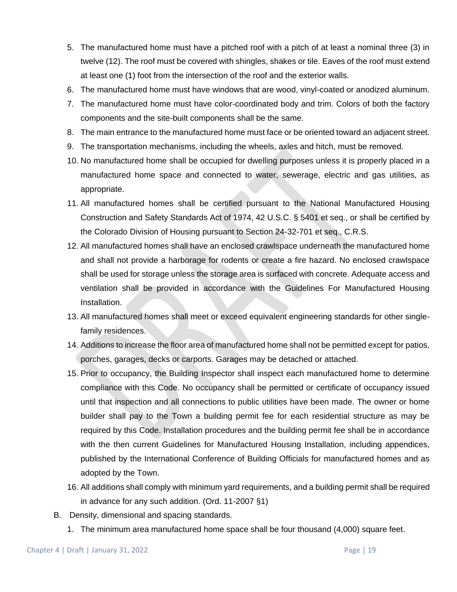- 5. The manufactured home must have a pitched roof with a pitch of at least a nominal three (3) in twelve (12). The roof must be covered with shingles, shakes or tile. Eaves of the roof must extend at least one (1) foot from the intersection of the roof and the exterior walls.
- 6. The manufactured home must have windows that are wood, vinyl-coated or anodized aluminum.
- 7. The manufactured home must have color-coordinated body and trim. Colors of both the factory components and the site-built components shall be the same.
- 8. The main entrance to the manufactured home must face or be oriented toward an adjacent street.
- 9. The transportation mechanisms, including the wheels, axles and hitch, must be removed.
- 10. No manufactured home shall be occupied for dwelling purposes unless it is properly placed in a manufactured home space and connected to water, sewerage, electric and gas utilities, as appropriate.
- 11. All manufactured homes shall be certified pursuant to the National Manufactured Housing Construction and Safety Standards Act of 1974, 42 U.S.C. § 5401 et seq., or shall be certified by the Colorado Division of Housing pursuant to Section 24-32-701 et seq., C.R.S.
- 12. All manufactured homes shall have an enclosed crawlspace underneath the manufactured home and shall not provide a harborage for rodents or create a fire hazard. No enclosed crawlspace shall be used for storage unless the storage area is surfaced with concrete. Adequate access and ventilation shall be provided in accordance with the Guidelines For Manufactured Housing Installation.
- 13. All manufactured homes shall meet or exceed equivalent engineering standards for other singlefamily residences.
- 14. Additions to increase the floor area of manufactured home shall not be permitted except for patios, porches, garages, decks or carports. Garages may be detached or attached.
- 15. Prior to occupancy, the Building Inspector shall inspect each manufactured home to determine compliance with this Code. No occupancy shall be permitted or certificate of occupancy issued until that inspection and all connections to public utilities have been made. The owner or home builder shall pay to the Town a building permit fee for each residential structure as may be required by this Code. Installation procedures and the building permit fee shall be in accordance with the then current Guidelines for Manufactured Housing Installation, including appendices, published by the International Conference of Building Officials for manufactured homes and as adopted by the Town.
- 16. All additions shall comply with minimum yard requirements, and a building permit shall be required in advance for any such addition. (Ord. 11-2007 §1)
- B. Density, dimensional and spacing standards.
	- 1. The minimum area manufactured home space shall be four thousand (4,000) square feet.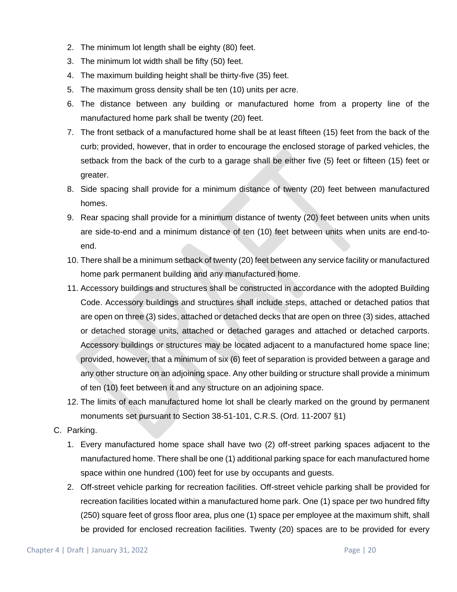- 2. The minimum lot length shall be eighty (80) feet.
- 3. The minimum lot width shall be fifty (50) feet.
- 4. The maximum building height shall be thirty-five (35) feet.
- 5. The maximum gross density shall be ten (10) units per acre.
- 6. The distance between any building or manufactured home from a property line of the manufactured home park shall be twenty (20) feet.
- 7. The front setback of a manufactured home shall be at least fifteen (15) feet from the back of the curb; provided, however, that in order to encourage the enclosed storage of parked vehicles, the setback from the back of the curb to a garage shall be either five (5) feet or fifteen (15) feet or greater.
- 8. Side spacing shall provide for a minimum distance of twenty (20) feet between manufactured homes.
- 9. Rear spacing shall provide for a minimum distance of twenty (20) feet between units when units are side-to-end and a minimum distance of ten (10) feet between units when units are end-toend.
- 10. There shall be a minimum setback of twenty (20) feet between any service facility or manufactured home park permanent building and any manufactured home.
- 11. Accessory buildings and structures shall be constructed in accordance with the adopted Building Code. Accessory buildings and structures shall include steps, attached or detached patios that are open on three (3) sides, attached or detached decks that are open on three (3) sides, attached or detached storage units, attached or detached garages and attached or detached carports. Accessory buildings or structures may be located adjacent to a manufactured home space line; provided, however, that a minimum of six (6) feet of separation is provided between a garage and any other structure on an adjoining space. Any other building or structure shall provide a minimum of ten (10) feet between it and any structure on an adjoining space.
- 12. The limits of each manufactured home lot shall be clearly marked on the ground by permanent monuments set pursuant to Section 38-51-101, C.R.S. (Ord. 11-2007 §1)
- C. Parking.
	- 1. Every manufactured home space shall have two (2) off-street parking spaces adjacent to the manufactured home. There shall be one (1) additional parking space for each manufactured home space within one hundred (100) feet for use by occupants and guests.
	- 2. Off-street vehicle parking for recreation facilities. Off-street vehicle parking shall be provided for recreation facilities located within a manufactured home park. One (1) space per two hundred fifty (250) square feet of gross floor area, plus one (1) space per employee at the maximum shift, shall be provided for enclosed recreation facilities. Twenty (20) spaces are to be provided for every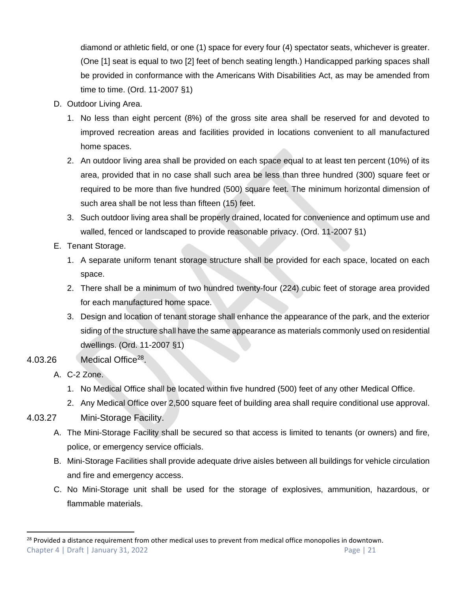diamond or athletic field, or one (1) space for every four (4) spectator seats, whichever is greater. (One [1] seat is equal to two [2] feet of bench seating length.) Handicapped parking spaces shall be provided in conformance with the Americans With Disabilities Act, as may be amended from time to time. (Ord. 11-2007 §1)

- D. Outdoor Living Area.
	- 1. No less than eight percent (8%) of the gross site area shall be reserved for and devoted to improved recreation areas and facilities provided in locations convenient to all manufactured home spaces.
	- 2. An outdoor living area shall be provided on each space equal to at least ten percent (10%) of its area, provided that in no case shall such area be less than three hundred (300) square feet or required to be more than five hundred (500) square feet. The minimum horizontal dimension of such area shall be not less than fifteen (15) feet.
	- 3. Such outdoor living area shall be properly drained, located for convenience and optimum use and walled, fenced or landscaped to provide reasonable privacy. (Ord. 11-2007 §1)
- E. Tenant Storage.
	- 1. A separate uniform tenant storage structure shall be provided for each space, located on each space.
	- 2. There shall be a minimum of two hundred twenty-four (224) cubic feet of storage area provided for each manufactured home space.
	- 3. Design and location of tenant storage shall enhance the appearance of the park, and the exterior siding of the structure shall have the same appearance as materials commonly used on residential dwellings. (Ord. 11-2007 §1)
- 4.03.26 Medical Office<sup>28</sup>.
	- A. C-2 Zone.
		- 1. No Medical Office shall be located within five hundred (500) feet of any other Medical Office.
		- 2. Any Medical Office over 2,500 square feet of building area shall require conditional use approval.
- 4.03.27 Mini-Storage Facility.
	- A. The Mini-Storage Facility shall be secured so that access is limited to tenants (or owners) and fire, police, or emergency service officials.
	- B. Mini-Storage Facilities shall provide adequate drive aisles between all buildings for vehicle circulation and fire and emergency access.
	- C. No Mini-Storage unit shall be used for the storage of explosives, ammunition, hazardous, or flammable materials.

Chapter 4 | Draft | January 31, 2022 Page | 21 <sup>28</sup> Provided a distance requirement from other medical uses to prevent from medical office monopolies in downtown.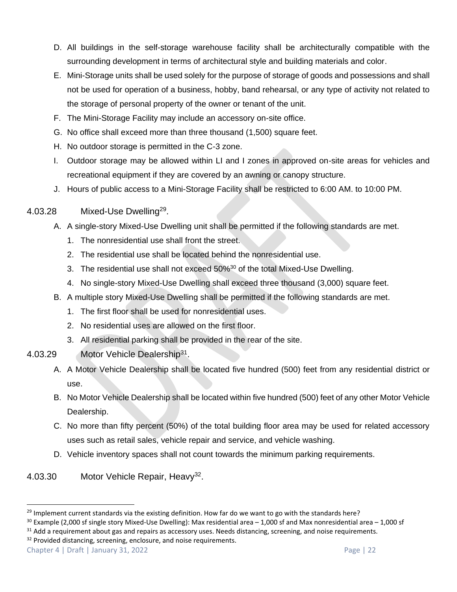- D. All buildings in the self-storage warehouse facility shall be architecturally compatible with the surrounding development in terms of architectural style and building materials and color.
- E. Mini-Storage units shall be used solely for the purpose of storage of goods and possessions and shall not be used for operation of a business, hobby, band rehearsal, or any type of activity not related to the storage of personal property of the owner or tenant of the unit.
- F. The Mini-Storage Facility may include an accessory on-site office.
- G. No office shall exceed more than three thousand (1,500) square feet.
- H. No outdoor storage is permitted in the C-3 zone.
- I. Outdoor storage may be allowed within LI and I zones in approved on-site areas for vehicles and recreational equipment if they are covered by an awning or canopy structure.
- J. Hours of public access to a Mini-Storage Facility shall be restricted to 6:00 AM. to 10:00 PM.

#### 4.03.28 Mixed-Use Dwelling<sup>29</sup>.

- A. A single-story Mixed-Use Dwelling unit shall be permitted if the following standards are met.
	- 1. The nonresidential use shall front the street.
	- 2. The residential use shall be located behind the nonresidential use.
	- 3. The residential use shall not exceed 50%<sup>30</sup> of the total Mixed-Use Dwelling.
	- 4. No single-story Mixed-Use Dwelling shall exceed three thousand (3,000) square feet.
- B. A multiple story Mixed-Use Dwelling shall be permitted if the following standards are met.
	- 1. The first floor shall be used for nonresidential uses.
	- 2. No residential uses are allowed on the first floor.
	- 3. All residential parking shall be provided in the rear of the site.
- 4.03.29 Motor Vehicle Dealership<sup>31</sup>.
	- A. A Motor Vehicle Dealership shall be located five hundred (500) feet from any residential district or use.
	- B. No Motor Vehicle Dealership shall be located within five hundred (500) feet of any other Motor Vehicle Dealership.
	- C. No more than fifty percent (50%) of the total building floor area may be used for related accessory uses such as retail sales, vehicle repair and service, and vehicle washing.
	- D. Vehicle inventory spaces shall not count towards the minimum parking requirements.
- 4.03.30 Motor Vehicle Repair, Heavy<sup>32</sup>.

Chapter 4 | Draft | January 31, 2022 Page | 22

<sup>&</sup>lt;sup>29</sup> Implement current standards via the existing definition. How far do we want to go with the standards here?

<sup>30</sup> Example (2,000 sf single story Mixed-Use Dwelling): Max residential area – 1,000 sf and Max nonresidential area – 1,000 sf

 $31$  Add a requirement about gas and repairs as accessory uses. Needs distancing, screening, and noise requirements.

<sup>&</sup>lt;sup>32</sup> Provided distancing, screening, enclosure, and noise requirements.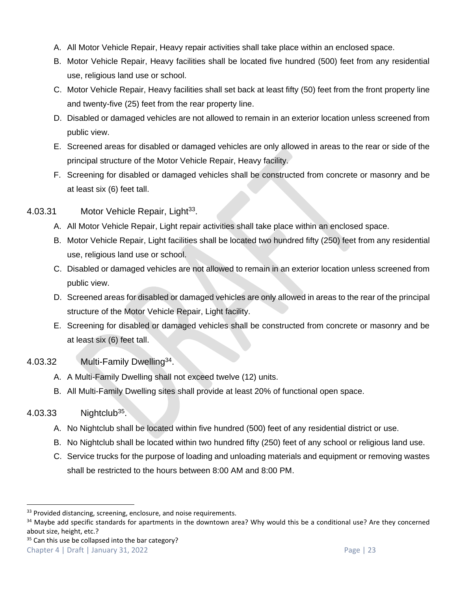- A. All Motor Vehicle Repair, Heavy repair activities shall take place within an enclosed space.
- B. Motor Vehicle Repair, Heavy facilities shall be located five hundred (500) feet from any residential use, religious land use or school.
- C. Motor Vehicle Repair, Heavy facilities shall set back at least fifty (50) feet from the front property line and twenty-five (25) feet from the rear property line.
- D. Disabled or damaged vehicles are not allowed to remain in an exterior location unless screened from public view.
- E. Screened areas for disabled or damaged vehicles are only allowed in areas to the rear or side of the principal structure of the Motor Vehicle Repair, Heavy facility.
- F. Screening for disabled or damaged vehicles shall be constructed from concrete or masonry and be at least six (6) feet tall.
- 4.03.31 Motor Vehicle Repair, Light<sup>33</sup>.
	- A. All Motor Vehicle Repair, Light repair activities shall take place within an enclosed space.
	- B. Motor Vehicle Repair, Light facilities shall be located two hundred fifty (250) feet from any residential use, religious land use or school.
	- C. Disabled or damaged vehicles are not allowed to remain in an exterior location unless screened from public view.
	- D. Screened areas for disabled or damaged vehicles are only allowed in areas to the rear of the principal structure of the Motor Vehicle Repair, Light facility.
	- E. Screening for disabled or damaged vehicles shall be constructed from concrete or masonry and be at least six (6) feet tall.
- 4.03.32 Multi-Family Dwelling<sup>34</sup>.
	- A. A Multi-Family Dwelling shall not exceed twelve (12) units.
	- B. All Multi-Family Dwelling sites shall provide at least 20% of functional open space.

# $4.03.33$  Nightclub<sup>35</sup>.

- A. No Nightclub shall be located within five hundred (500) feet of any residential district or use.
- B. No Nightclub shall be located within two hundred fifty (250) feet of any school or religious land use.
- C. Service trucks for the purpose of loading and unloading materials and equipment or removing wastes shall be restricted to the hours between 8:00 AM and 8:00 PM.

<sup>&</sup>lt;sup>33</sup> Provided distancing, screening, enclosure, and noise requirements.

<sup>34</sup> Maybe add specific standards for apartments in the downtown area? Why would this be a conditional use? Are they concerned about size, height, etc.?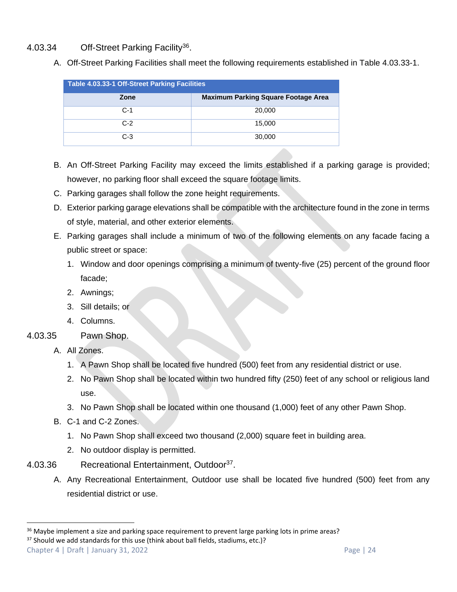#### 4.03.34 Off-Street Parking Facility<sup>36</sup>.

A. Off-Street Parking Facilities shall meet the following requirements established in Table 4.03.33-1.

| <b>Table 4.03.33-1 Off-Street Parking Facilities</b> |                                            |  |  |  |  |  |  |  |
|------------------------------------------------------|--------------------------------------------|--|--|--|--|--|--|--|
| Zone                                                 | <b>Maximum Parking Square Footage Area</b> |  |  |  |  |  |  |  |
| $C-1$                                                | 20,000                                     |  |  |  |  |  |  |  |
| $C-2$                                                | 15,000                                     |  |  |  |  |  |  |  |
| $C-3$                                                | 30,000                                     |  |  |  |  |  |  |  |

- B. An Off-Street Parking Facility may exceed the limits established if a parking garage is provided; however, no parking floor shall exceed the square footage limits.
- C. Parking garages shall follow the zone height requirements.
- D. Exterior parking garage elevations shall be compatible with the architecture found in the zone in terms of style, material, and other exterior elements.
- E. Parking garages shall include a minimum of two of the following elements on any facade facing a public street or space:
	- 1. Window and door openings comprising a minimum of twenty-five (25) percent of the ground floor facade;
	- 2. Awnings;
	- 3. Sill details; or
	- 4. Columns.
- 4.03.35 Pawn Shop.
	- A. All Zones.
		- 1. A Pawn Shop shall be located five hundred (500) feet from any residential district or use.
		- 2. No Pawn Shop shall be located within two hundred fifty (250) feet of any school or religious land use.
		- 3. No Pawn Shop shall be located within one thousand (1,000) feet of any other Pawn Shop.
	- B. C-1 and C-2 Zones.
		- 1. No Pawn Shop shall exceed two thousand (2,000) square feet in building area.
		- 2. No outdoor display is permitted.
- 4.03.36 Recreational Entertainment, Outdoor<sup>37</sup>.
	- A. Any Recreational Entertainment, Outdoor use shall be located five hundred (500) feet from any residential district or use.

<sup>37</sup> Should we add standards for this use (think about ball fields, stadiums, etc.)?

 $36$  Maybe implement a size and parking space requirement to prevent large parking lots in prime areas?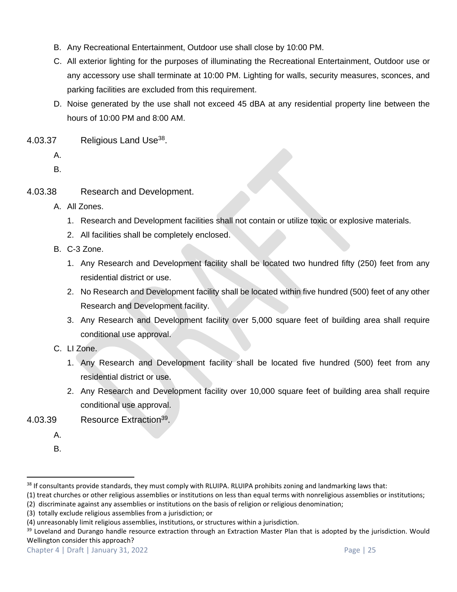- B. Any Recreational Entertainment, Outdoor use shall close by 10:00 PM.
- C. All exterior lighting for the purposes of illuminating the Recreational Entertainment, Outdoor use or any accessory use shall terminate at 10:00 PM. Lighting for walls, security measures, sconces, and parking facilities are excluded from this requirement.
- D. Noise generated by the use shall not exceed 45 dBA at any residential property line between the hours of 10:00 PM and 8:00 AM.
- $4.03.37$  Religious Land Use<sup>38</sup>.
	- A.

B.

- 4.03.38 Research and Development.
	- A. All Zones.
		- 1. Research and Development facilities shall not contain or utilize toxic or explosive materials.
		- 2. All facilities shall be completely enclosed.
	- B. C-3 Zone.
		- 1. Any Research and Development facility shall be located two hundred fifty (250) feet from any residential district or use.
		- 2. No Research and Development facility shall be located within five hundred (500) feet of any other Research and Development facility.
		- 3. Any Research and Development facility over 5,000 square feet of building area shall require conditional use approval.
	- C. LI Zone.
		- 1. Any Research and Development facility shall be located five hundred (500) feet from any residential district or use.
		- 2. Any Research and Development facility over 10,000 square feet of building area shall require conditional use approval.
- 4.03.39 Resource Extraction<sup>39</sup>.
	- A.

B.

<sup>&</sup>lt;sup>38</sup> If consultants provide standards, they must comply with RLUIPA. RLUIPA prohibits zoning and landmarking laws that:

<sup>(1)</sup> treat churches or other religious assemblies or institutions on less than equal terms with nonreligious assemblies or institutions;

<sup>(2)</sup> discriminate against any assemblies or institutions on the basis of religion or religious denomination;

<sup>(3)</sup> totally exclude religious assemblies from a jurisdiction; or

<sup>(4)</sup> unreasonably limit religious assemblies, institutions, or structures within a jurisdiction.

<sup>&</sup>lt;sup>39</sup> Loveland and Durango handle resource extraction through an Extraction Master Plan that is adopted by the jurisdiction. Would Wellington consider this approach?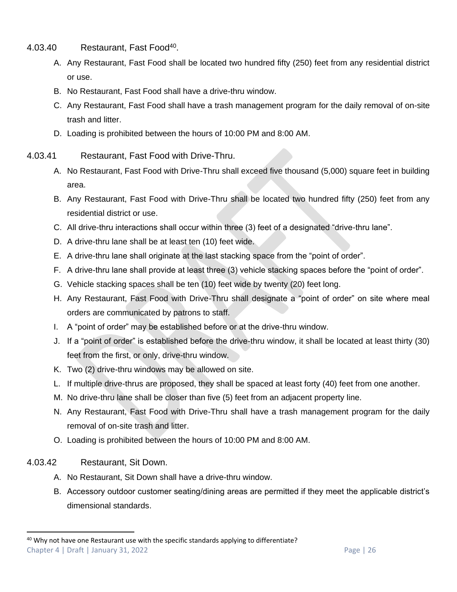- 4.03.40 Restaurant, Fast Food<sup>40</sup>.
	- A. Any Restaurant, Fast Food shall be located two hundred fifty (250) feet from any residential district or use.
	- B. No Restaurant, Fast Food shall have a drive-thru window.
	- C. Any Restaurant, Fast Food shall have a trash management program for the daily removal of on-site trash and litter.
	- D. Loading is prohibited between the hours of 10:00 PM and 8:00 AM.
- 4.03.41 Restaurant, Fast Food with Drive-Thru.
	- A. No Restaurant, Fast Food with Drive-Thru shall exceed five thousand (5,000) square feet in building area.
	- B. Any Restaurant, Fast Food with Drive-Thru shall be located two hundred fifty (250) feet from any residential district or use.
	- C. All drive-thru interactions shall occur within three (3) feet of a designated "drive-thru lane".
	- D. A drive-thru lane shall be at least ten (10) feet wide.
	- E. A drive-thru lane shall originate at the last stacking space from the "point of order".
	- F. A drive-thru lane shall provide at least three (3) vehicle stacking spaces before the "point of order".
	- G. Vehicle stacking spaces shall be ten (10) feet wide by twenty (20) feet long.
	- H. Any Restaurant, Fast Food with Drive-Thru shall designate a "point of order" on site where meal orders are communicated by patrons to staff.
	- I. A "point of order" may be established before or at the drive-thru window.
	- J. If a "point of order" is established before the drive-thru window, it shall be located at least thirty (30) feet from the first, or only, drive-thru window.
	- K. Two (2) drive-thru windows may be allowed on site.
	- L. If multiple drive-thrus are proposed, they shall be spaced at least forty (40) feet from one another.
	- M. No drive-thru lane shall be closer than five (5) feet from an adjacent property line.
	- N. Any Restaurant, Fast Food with Drive-Thru shall have a trash management program for the daily removal of on-site trash and litter.
	- O. Loading is prohibited between the hours of 10:00 PM and 8:00 AM.
- 4.03.42 Restaurant, Sit Down.
	- A. No Restaurant, Sit Down shall have a drive-thru window.
	- B. Accessory outdoor customer seating/dining areas are permitted if they meet the applicable district's dimensional standards.

Chapter 4 | Draft | January 31, 2022 Page | 26  $40$  Why not have one Restaurant use with the specific standards applying to differentiate?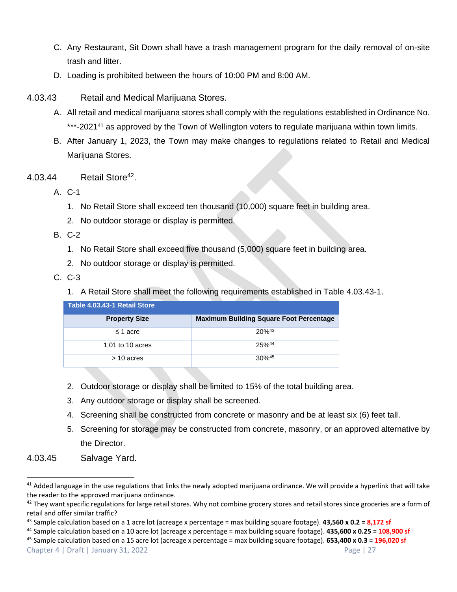- C. Any Restaurant, Sit Down shall have a trash management program for the daily removal of on-site trash and litter.
- D. Loading is prohibited between the hours of 10:00 PM and 8:00 AM.
- 4.03.43 Retail and Medical Marijuana Stores.
	- A. All retail and medical marijuana stores shall comply with the regulations established in Ordinance No. \*\*\*-2021<sup>41</sup> as approved by the Town of Wellington voters to regulate marijuana within town limits.
	- B. After January 1, 2023, the Town may make changes to regulations related to Retail and Medical Marijuana Stores.
- 4.03.44 Retail Store<sup>42</sup>.
	- A. C-1
		- 1. No Retail Store shall exceed ten thousand (10,000) square feet in building area.
		- 2. No outdoor storage or display is permitted.
	- B. C-2
		- 1. No Retail Store shall exceed five thousand (5,000) square feet in building area.
		- 2. No outdoor storage or display is permitted.
	- C. C-3
		- 1. A Retail Store shall meet the following requirements established in Table 4.03.43-1.

| Table 4.03.43-1 Retail Store |                                                |
|------------------------------|------------------------------------------------|
| <b>Property Size</b>         | <b>Maximum Building Square Foot Percentage</b> |
| $\leq$ 1 acre                | $20%^{43}$                                     |
| 1.01 to 10 acres             | 25%44                                          |
| $>$ 10 acres                 | $30\%$ <sup>45</sup>                           |

- 2. Outdoor storage or display shall be limited to 15% of the total building area.
- 3. Any outdoor storage or display shall be screened.
- 4. Screening shall be constructed from concrete or masonry and be at least six (6) feet tall.
- 5. Screening for storage may be constructed from concrete, masonry, or an approved alternative by the Director.
- 4.03.45 Salvage Yard.

 $41$  Added language in the use regulations that links the newly adopted marijuana ordinance. We will provide a hyperlink that will take the reader to the approved marijuana ordinance.

 $42$  They want specific regulations for large retail stores. Why not combine grocery stores and retail stores since groceries are a form of retail and offer similar traffic?

<sup>43</sup> Sample calculation based on a 1 acre lot (acreage x percentage = max building square footage). **43,560 x 0.2 = 8,172 sf**

<sup>44</sup> Sample calculation based on a 10 acre lot (acreage x percentage = max building square footage). **435,600 x 0.25 = 108,900 sf**

Chapter 4 | Draft | January 31, 2022 Page | 27 <sup>45</sup> Sample calculation based on a 15 acre lot (acreage x percentage = max building square footage). **653,400 x 0.3 = 196,020 sf**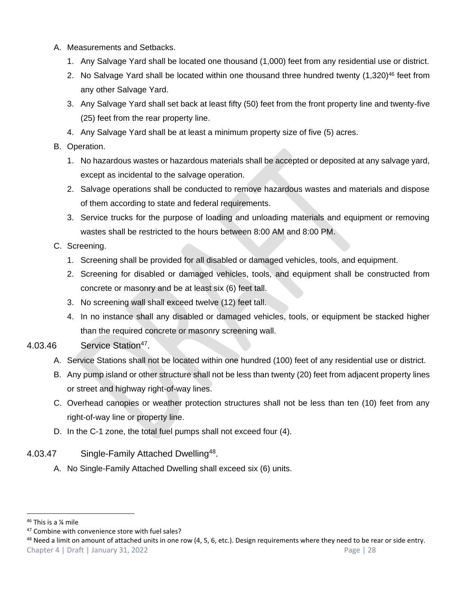- A. Measurements and Setbacks.
	- 1. Any Salvage Yard shall be located one thousand (1,000) feet from any residential use or district.
	- 2. No Salvage Yard shall be located within one thousand three hundred twenty  $(1,320)^{46}$  feet from any other Salvage Yard.
	- 3. Any Salvage Yard shall set back at least fifty (50) feet from the front property line and twenty-five (25) feet from the rear property line.
	- 4. Any Salvage Yard shall be at least a minimum property size of five (5) acres.
- B. Operation.
	- 1. No hazardous wastes or hazardous materials shall be accepted or deposited at any salvage yard, except as incidental to the salvage operation.
	- 2. Salvage operations shall be conducted to remove hazardous wastes and materials and dispose of them according to state and federal requirements.
	- 3. Service trucks for the purpose of loading and unloading materials and equipment or removing wastes shall be restricted to the hours between 8:00 AM and 8:00 PM.
- C. Screening.
	- 1. Screening shall be provided for all disabled or damaged vehicles, tools, and equipment.
	- 2. Screening for disabled or damaged vehicles, tools, and equipment shall be constructed from concrete or masonry and be at least six (6) feet tall.
	- 3. No screening wall shall exceed twelve (12) feet tall.
	- 4. In no instance shall any disabled or damaged vehicles, tools, or equipment be stacked higher than the required concrete or masonry screening wall.
- 4.03.46 Service Station<sup>47</sup>.
	- A. Service Stations shall not be located within one hundred (100) feet of any residential use or district.
	- B. Any pump island or other structure shall not be less than twenty (20) feet from adjacent property lines or street and highway right-of-way lines.
	- C. Overhead canopies or weather protection structures shall not be less than ten (10) feet from any right-of-way line or property line.
	- D. In the C-1 zone, the total fuel pumps shall not exceed four (4).
- 4.03.47 Single-Family Attached Dwelling<sup>48</sup>.
	- A. No Single-Family Attached Dwelling shall exceed six (6) units.

<sup>46</sup> This is a ¼ mile

<sup>&</sup>lt;sup>47</sup> Combine with convenience store with fuel sales?

Chapter 4 | Draft | January 31, 2022 Page | 28  $48$  Need a limit on amount of attached units in one row (4, 5, 6, etc.). Design requirements where they need to be rear or side entry.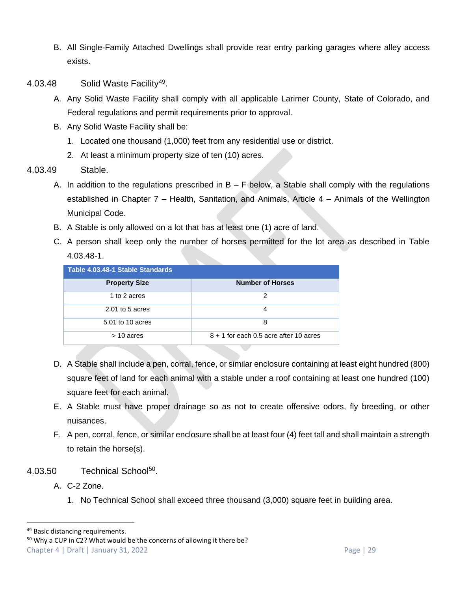- B. All Single-Family Attached Dwellings shall provide rear entry parking garages where alley access exists.
- 4.03.48 Solid Waste Facility<sup>49</sup>.
	- A. Any Solid Waste Facility shall comply with all applicable Larimer County, State of Colorado, and Federal regulations and permit requirements prior to approval.
	- B. Any Solid Waste Facility shall be:
		- 1. Located one thousand (1,000) feet from any residential use or district.
		- 2. At least a minimum property size of ten (10) acres.
- 4.03.49 Stable.
	- A. In addition to the regulations prescribed in  $B F$  below, a Stable shall comply with the regulations established in Chapter 7 – Health, Sanitation, and Animals, Article 4 – Animals of the Wellington Municipal Code.
	- B. A Stable is only allowed on a lot that has at least one (1) acre of land.
	- C. A person shall keep only the number of horses permitted for the lot area as described in Table 4.03.48-1.

| Table 4.03.48-1 Stable Standards |                                          |  |  |  |  |  |  |  |  |
|----------------------------------|------------------------------------------|--|--|--|--|--|--|--|--|
| <b>Property Size</b>             | <b>Number of Horses</b>                  |  |  |  |  |  |  |  |  |
| 1 to 2 acres                     | 2                                        |  |  |  |  |  |  |  |  |
| $2.01$ to 5 acres                | 4                                        |  |  |  |  |  |  |  |  |
| 5.01 to 10 acres                 | 8                                        |  |  |  |  |  |  |  |  |
| $>$ 10 acres                     | $8 + 1$ for each 0.5 acre after 10 acres |  |  |  |  |  |  |  |  |

- D. A Stable shall include a pen, corral, fence, or similar enclosure containing at least eight hundred (800) square feet of land for each animal with a stable under a roof containing at least one hundred (100) square feet for each animal.
- E. A Stable must have proper drainage so as not to create offensive odors, fly breeding, or other nuisances.
- F. A pen, corral, fence, or similar enclosure shall be at least four (4) feet tall and shall maintain a strength to retain the horse(s).
- 4.03.50 Technical School<sup>50</sup>.
	- A. C-2 Zone.
		- 1. No Technical School shall exceed three thousand (3,000) square feet in building area.

<sup>49</sup> Basic distancing requirements.

Chapter 4 | Draft | January 31, 2022 Page | 29 <sup>50</sup> Why a CUP in C2? What would be the concerns of allowing it there be?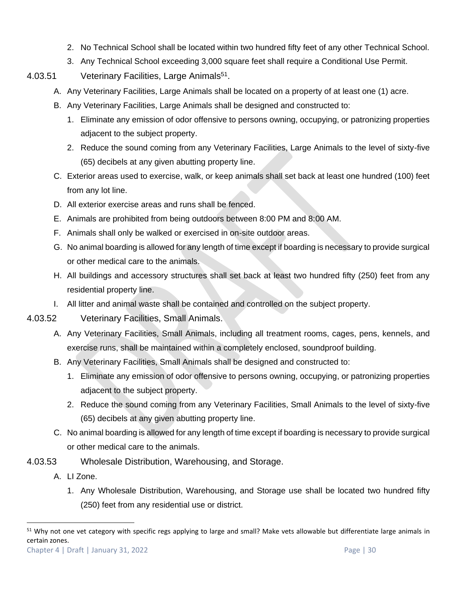- 2. No Technical School shall be located within two hundred fifty feet of any other Technical School.
- 3. Any Technical School exceeding 3,000 square feet shall require a Conditional Use Permit.
- 4.03.51 Veterinary Facilities, Large Animals<sup>51</sup>.
	- A. Any Veterinary Facilities, Large Animals shall be located on a property of at least one (1) acre.
	- B. Any Veterinary Facilities, Large Animals shall be designed and constructed to:
		- 1. Eliminate any emission of odor offensive to persons owning, occupying, or patronizing properties adjacent to the subject property.
		- 2. Reduce the sound coming from any Veterinary Facilities, Large Animals to the level of sixty-five (65) decibels at any given abutting property line.
	- C. Exterior areas used to exercise, walk, or keep animals shall set back at least one hundred (100) feet from any lot line.
	- D. All exterior exercise areas and runs shall be fenced.
	- E. Animals are prohibited from being outdoors between 8:00 PM and 8:00 AM.
	- F. Animals shall only be walked or exercised in on-site outdoor areas.
	- G. No animal boarding is allowed for any length of time except if boarding is necessary to provide surgical or other medical care to the animals.
	- H. All buildings and accessory structures shall set back at least two hundred fifty (250) feet from any residential property line.
	- I. All litter and animal waste shall be contained and controlled on the subject property.
- 4.03.52 Veterinary Facilities, Small Animals.
	- A. Any Veterinary Facilities, Small Animals, including all treatment rooms, cages, pens, kennels, and exercise runs, shall be maintained within a completely enclosed, soundproof building.
	- B. Any Veterinary Facilities, Small Animals shall be designed and constructed to:
		- 1. Eliminate any emission of odor offensive to persons owning, occupying, or patronizing properties adjacent to the subject property.
		- 2. Reduce the sound coming from any Veterinary Facilities, Small Animals to the level of sixty-five (65) decibels at any given abutting property line.
	- C. No animal boarding is allowed for any length of time except if boarding is necessary to provide surgical or other medical care to the animals.
- 4.03.53 Wholesale Distribution, Warehousing, and Storage.
	- A. LI Zone.
		- 1. Any Wholesale Distribution, Warehousing, and Storage use shall be located two hundred fifty (250) feet from any residential use or district.

<sup>&</sup>lt;sup>51</sup> Why not one vet category with specific regs applying to large and small? Make vets allowable but differentiate large animals in certain zones.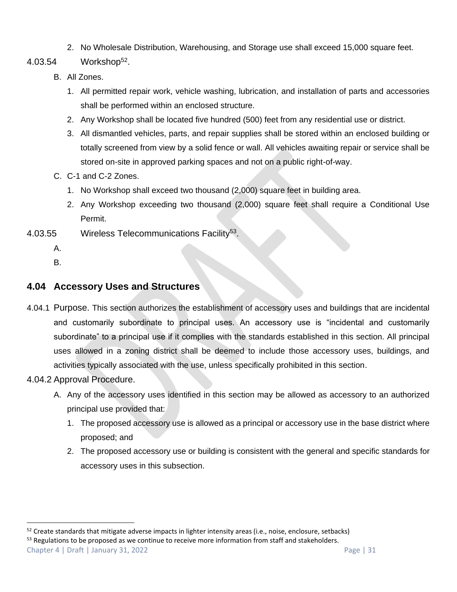- 2. No Wholesale Distribution, Warehousing, and Storage use shall exceed 15,000 square feet.
- 4.03.54 Workshop<sup>52</sup>.
	- B. All Zones.
		- 1. All permitted repair work, vehicle washing, lubrication, and installation of parts and accessories shall be performed within an enclosed structure.
		- 2. Any Workshop shall be located five hundred (500) feet from any residential use or district.
		- 3. All dismantled vehicles, parts, and repair supplies shall be stored within an enclosed building or totally screened from view by a solid fence or wall. All vehicles awaiting repair or service shall be stored on-site in approved parking spaces and not on a public right-of-way.
	- C. C-1 and C-2 Zones.
		- 1. No Workshop shall exceed two thousand (2,000) square feet in building area.
		- 2. Any Workshop exceeding two thousand (2,000) square feet shall require a Conditional Use Permit.
- 4.03.55 Wireless Telecommunications Facility<sup>53</sup>.
	- A.
	- B.

# <span id="page-30-0"></span>**4.04 Accessory Uses and Structures**

4.04.1 Purpose. This section authorizes the establishment of accessory uses and buildings that are incidental and customarily subordinate to principal uses. An accessory use is "incidental and customarily subordinate" to a principal use if it complies with the standards established in this section. All principal uses allowed in a zoning district shall be deemed to include those accessory uses, buildings, and activities typically associated with the use, unless specifically prohibited in this section.

# 4.04.2 Approval Procedure.

- A. Any of the accessory uses identified in this section may be allowed as accessory to an authorized principal use provided that:
	- 1. The proposed accessory use is allowed as a principal or accessory use in the base district where proposed; and
	- 2. The proposed accessory use or building is consistent with the general and specific standards for accessory uses in this subsection.

Chapter 4 | Draft | January 31, 2022 Page | 31  $53$  Regulations to be proposed as we continue to receive more information from staff and stakeholders.

 $52$  Create standards that mitigate adverse impacts in lighter intensity areas (i.e., noise, enclosure, setbacks)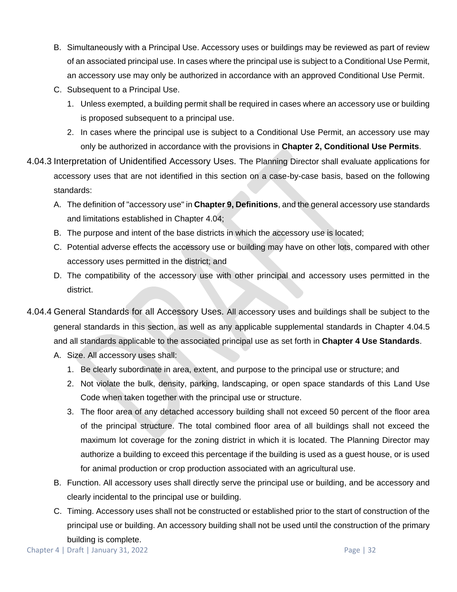- B. Simultaneously with a Principal Use. Accessory uses or buildings may be reviewed as part of review of an associated principal use. In cases where the principal use is subject to a Conditional Use Permit, an accessory use may only be authorized in accordance with an approved Conditional Use Permit.
- C. Subsequent to a Principal Use.
	- 1. Unless exempted, a building permit shall be required in cases where an accessory use or building is proposed subsequent to a principal use.
	- 2. In cases where the principal use is subject to a Conditional Use Permit, an accessory use may only be authorized in accordance with the provisions in **Chapter 2, Conditional Use Permits**.
- 4.04.3 Interpretation of Unidentified Accessory Uses. The Planning Director shall evaluate applications for accessory uses that are not identified in this section on a case-by-case basis, based on the following standards:
	- A. The definition of "accessory use" in **Chapter 9, Definitions**, and the general accessory use standards and limitations established in Chapter [4.04;](#page-30-0)
	- B. The purpose and intent of the base districts in which the accessory use is located;
	- C. Potential adverse effects the accessory use or building may have on other lots, compared with other accessory uses permitted in the district; and
	- D. The compatibility of the accessory use with other principal and accessory uses permitted in the district.
- 4.04.4 General Standards for all Accessory Uses. All accessory uses and buildings shall be subject to the general standards in this section, as well as any applicable supplemental standards in Chapter [4.04.5](#page-32-0) and all standards applicable to the associated principal use as set forth in **Chapter 4 Use Standards**.
	- A. Size. All accessory uses shall:
		- 1. Be clearly subordinate in area, extent, and purpose to the principal use or structure; and
		- 2. Not violate the bulk, density, parking, landscaping, or open space standards of this Land Use Code when taken together with the principal use or structure.
		- 3. The floor area of any detached accessory building shall not exceed 50 percent of the floor area of the principal structure. The total combined floor area of all buildings shall not exceed the maximum lot coverage for the zoning district in which it is located. The Planning Director may authorize a building to exceed this percentage if the building is used as a guest house, or is used for animal production or crop production associated with an agricultural use.
	- B. Function. All accessory uses shall directly serve the principal use or building, and be accessory and clearly incidental to the principal use or building.
	- C. Timing. Accessory uses shall not be constructed or established prior to the start of construction of the principal use or building. An accessory building shall not be used until the construction of the primary building is complete.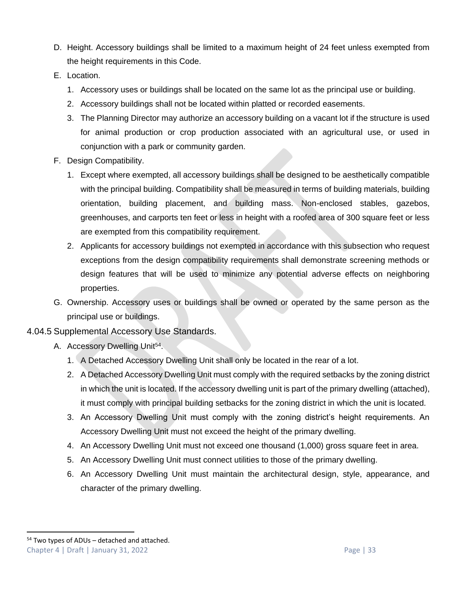- D. Height. Accessory buildings shall be limited to a maximum height of 24 feet unless exempted from the height requirements in this Code.
- E. Location.
	- 1. Accessory uses or buildings shall be located on the same lot as the principal use or building.
	- 2. Accessory buildings shall not be located within platted or recorded easements.
	- 3. The Planning Director may authorize an accessory building on a vacant lot if the structure is used for animal production or crop production associated with an agricultural use, or used in conjunction with a park or community garden.
- F. Design Compatibility.
	- 1. Except where exempted, all accessory buildings shall be designed to be aesthetically compatible with the principal building. Compatibility shall be measured in terms of building materials, building orientation, building placement, and building mass. Non-enclosed stables, gazebos, greenhouses, and carports ten feet or less in height with a roofed area of 300 square feet or less are exempted from this compatibility requirement.
	- 2. Applicants for accessory buildings not exempted in accordance with this subsection who request exceptions from the design compatibility requirements shall demonstrate screening methods or design features that will be used to minimize any potential adverse effects on neighboring properties.
- G. Ownership. Accessory uses or buildings shall be owned or operated by the same person as the principal use or buildings.

#### <span id="page-32-0"></span>4.04.5 Supplemental Accessory Use Standards.

- A. Accessory Dwelling Unit<sup>54</sup>.
	- 1. A Detached Accessory Dwelling Unit shall only be located in the rear of a lot.
	- 2. A Detached Accessory Dwelling Unit must comply with the required setbacks by the zoning district in which the unit is located. If the accessory dwelling unit is part of the primary dwelling (attached), it must comply with principal building setbacks for the zoning district in which the unit is located.
	- 3. An Accessory Dwelling Unit must comply with the zoning district's height requirements. An Accessory Dwelling Unit must not exceed the height of the primary dwelling.
	- 4. An Accessory Dwelling Unit must not exceed one thousand (1,000) gross square feet in area.
	- 5. An Accessory Dwelling Unit must connect utilities to those of the primary dwelling.
	- 6. An Accessory Dwelling Unit must maintain the architectural design, style, appearance, and character of the primary dwelling.

Chapter 4 | Draft | January 31, 2022 Page | 33  $54$  Two types of ADUs – detached and attached.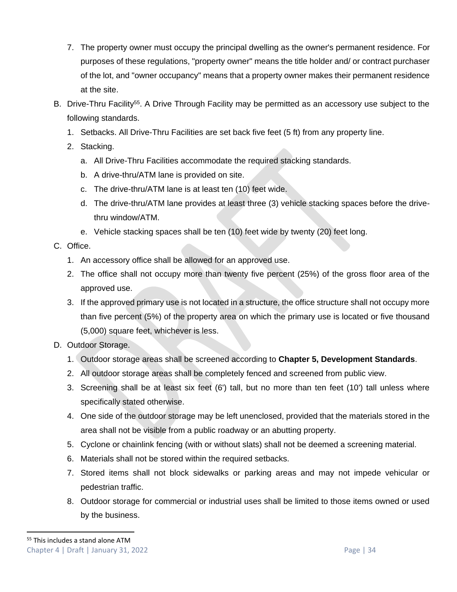- 7. The property owner must occupy the principal dwelling as the owner's permanent residence. For purposes of these regulations, "property owner" means the title holder and/ or contract purchaser of the lot, and "owner occupancy" means that a property owner makes their permanent residence at the site.
- B. Drive-Thru Facility<sup>55</sup>. A Drive Through Facility may be permitted as an accessory use subject to the following standards.
	- 1. Setbacks. All Drive-Thru Facilities are set back five feet (5 ft) from any property line.
	- 2. Stacking.
		- a. All Drive-Thru Facilities accommodate the required stacking standards.
		- b. A drive-thru/ATM lane is provided on site.
		- c. The drive-thru/ATM lane is at least ten (10) feet wide.
		- d. The drive-thru/ATM lane provides at least three (3) vehicle stacking spaces before the drivethru window/ATM.
		- e. Vehicle stacking spaces shall be ten (10) feet wide by twenty (20) feet long.
- <span id="page-33-1"></span>C. Office.
	- 1. An accessory office shall be allowed for an approved use.
	- 2. The office shall not occupy more than twenty five percent (25%) of the gross floor area of the approved use.
	- 3. If the approved primary use is not located in a structure, the office structure shall not occupy more than five percent (5%) of the property area on which the primary use is located or five thousand (5,000) square feet, whichever is less.
- <span id="page-33-0"></span>D. Outdoor Storage.
	- 1. Outdoor storage areas shall be screened according to **Chapter 5, Development Standards**.
	- 2. All outdoor storage areas shall be completely fenced and screened from public view.
	- 3. Screening shall be at least six feet (6') tall, but no more than ten feet (10') tall unless where specifically stated otherwise.
	- 4. One side of the outdoor storage may be left unenclosed, provided that the materials stored in the area shall not be visible from a public roadway or an abutting property.
	- 5. Cyclone or chainlink fencing (with or without slats) shall not be deemed a screening material.
	- 6. Materials shall not be stored within the required setbacks.
	- 7. Stored items shall not block sidewalks or parking areas and may not impede vehicular or pedestrian traffic.
	- 8. Outdoor storage for commercial or industrial uses shall be limited to those items owned or used by the business.

Chapter 4 | Draft | January 31, 2022 Page | 34 <sup>55</sup> This includes a stand alone ATM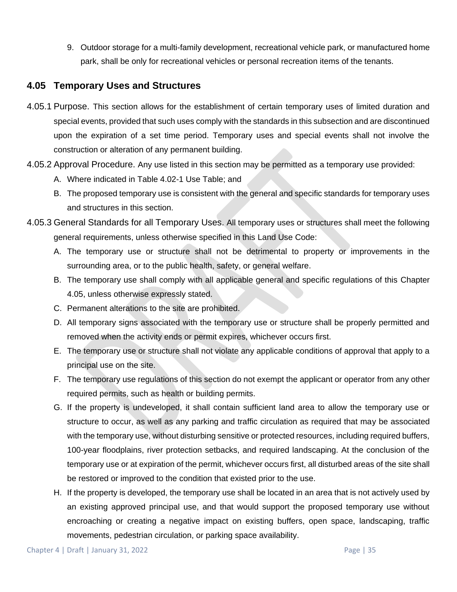9. Outdoor storage for a multi-family development, recreational vehicle park, or manufactured home park, shall be only for recreational vehicles or personal recreation items of the tenants.

# <span id="page-34-0"></span>**4.05 Temporary Uses and Structures**

- 4.05.1 Purpose. This section allows for the establishment of certain temporary uses of limited duration and special events, provided that such uses comply with the standards in this subsection and are discontinued upon the expiration of a set time period. Temporary uses and special events shall not involve the construction or alteration of any permanent building.
- 4.05.2 Approval Procedure. Any use listed in this section may be permitted as a temporary use provided:
	- A. Where indicated in Table 4.02-1 Use Table; and
	- B. The proposed temporary use is consistent with the general and specific standards for temporary uses and structures in this section.
- 4.05.3 General Standards for all Temporary Uses. All temporary uses or structures shall meet the following general requirements, unless otherwise specified in this Land Use Code:
	- A. The temporary use or structure shall not be detrimental to property or improvements in the surrounding area, or to the public health, safety, or general welfare.
	- B. The temporary use shall comply with all applicable general and specific regulations of this Chapter [4.05,](#page-34-0) unless otherwise expressly stated.
	- C. Permanent alterations to the site are prohibited.
	- D. All temporary signs associated with the temporary use or structure shall be properly permitted and removed when the activity ends or permit expires, whichever occurs first.
	- E. The temporary use or structure shall not violate any applicable conditions of approval that apply to a principal use on the site.
	- F. The temporary use regulations of this section do not exempt the applicant or operator from any other required permits, such as health or building permits.
	- G. If the property is undeveloped, it shall contain sufficient land area to allow the temporary use or structure to occur, as well as any parking and traffic circulation as required that may be associated with the temporary use, without disturbing sensitive or protected resources, including required buffers, 100-year floodplains, river protection setbacks, and required landscaping. At the conclusion of the temporary use or at expiration of the permit, whichever occurs first, all disturbed areas of the site shall be restored or improved to the condition that existed prior to the use.
	- H. If the property is developed, the temporary use shall be located in an area that is not actively used by an existing approved principal use, and that would support the proposed temporary use without encroaching or creating a negative impact on existing buffers, open space, landscaping, traffic movements, pedestrian circulation, or parking space availability.